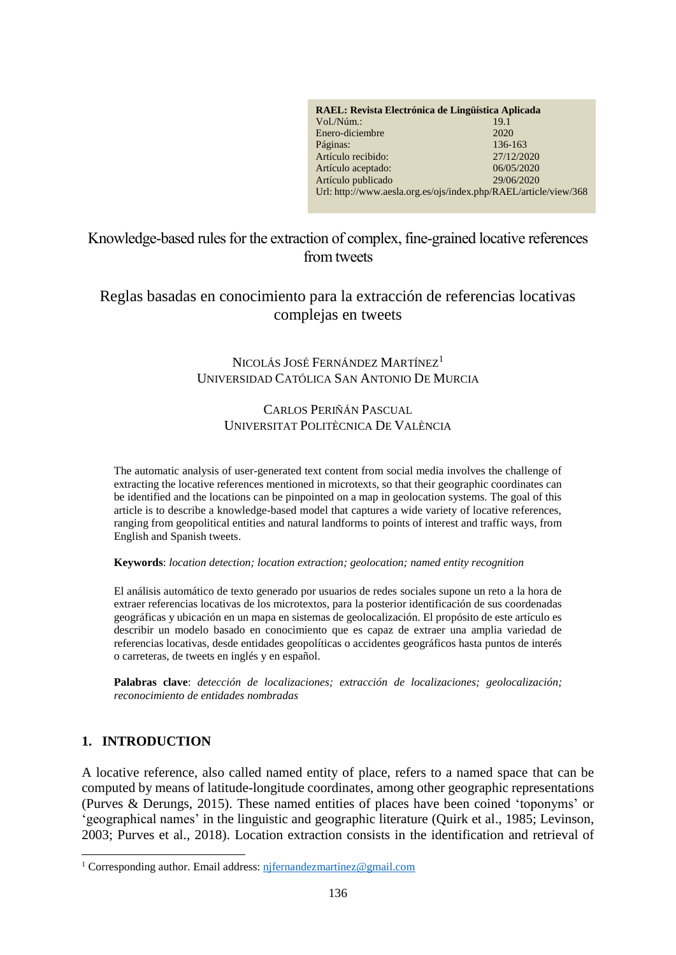| RAEL: Revista Electrónica de Lingüística Aplicada                |            |  |
|------------------------------------------------------------------|------------|--|
| Vol./Núm.:                                                       | 19.1       |  |
| Enero-diciembre                                                  | 2020       |  |
| Páginas:                                                         | 136-163    |  |
| Artículo recibido:                                               | 27/12/2020 |  |
| Artículo aceptado:                                               | 06/05/2020 |  |
| Artículo publicado                                               | 29/06/2020 |  |
| Url: http://www.aesla.org.es/ojs/index.php/RAEL/article/view/368 |            |  |

# Knowledge-based rules for the extraction of complex, fine-grained locative references from tweets

# Reglas basadas en conocimiento para la extracción de referencias locativas complejas en tweets

# NICOLÁS JOSÉ FERNÁNDEZ MARTÍNEZ<sup>1</sup> UNIVERSIDAD CATÓLICA SAN ANTONIO DE MURCIA

### CARLOS PERIÑÁN PASCUAL UNIVERSITAT POLITÈCNICA DE VALÈNCIA

The automatic analysis of user-generated text content from social media involves the challenge of extracting the locative references mentioned in microtexts, so that their geographic coordinates can be identified and the locations can be pinpointed on a map in geolocation systems. The goal of this article is to describe a knowledge-based model that captures a wide variety of locative references, ranging from geopolitical entities and natural landforms to points of interest and traffic ways, from English and Spanish tweets.

#### **Keywords**: *location detection; location extraction; geolocation; named entity recognition*

El análisis automático de texto generado por usuarios de redes sociales supone un reto a la hora de extraer referencias locativas de los microtextos, para la posterior identificación de sus coordenadas geográficas y ubicación en un mapa en sistemas de geolocalización. El propósito de este artículo es describir un modelo basado en conocimiento que es capaz de extraer una amplia variedad de referencias locativas, desde entidades geopolíticas o accidentes geográficos hasta puntos de interés o carreteras, de tweets en inglés y en español.

**Palabras clave**: *detección de localizaciones; extracción de localizaciones; geolocalización; reconocimiento de entidades nombradas*

# **1. INTRODUCTION**

-

A locative reference, also called named entity of place, refers to a named space that can be computed by means of latitude-longitude coordinates, among other geographic representations (Purves & Derungs, 2015). These named entities of places have been coined 'toponyms' or 'geographical names' in the linguistic and geographic literature (Quirk et al., 1985; Levinson, 2003; Purves et al., 2018). Location extraction consists in the identification and retrieval of

<sup>&</sup>lt;sup>1</sup> Corresponding author. Email address: [njfernandezmartinez@gmail.com](mailto:njfernandezmartinez@gmail.com)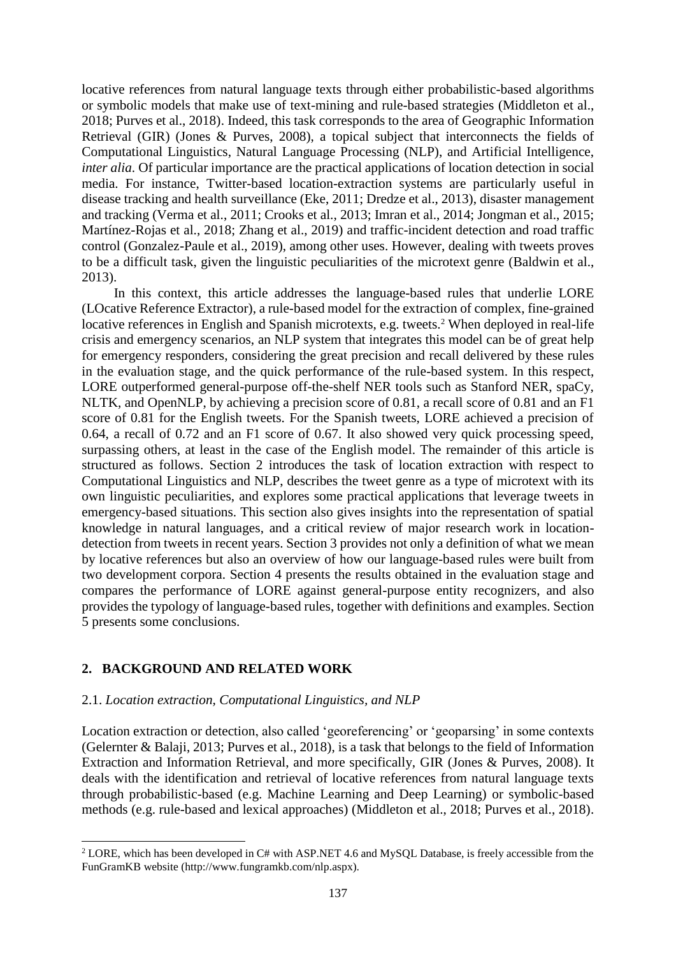locative references from natural language texts through either probabilistic-based algorithms or symbolic models that make use of text-mining and rule-based strategies (Middleton et al., 2018; Purves et al., 2018). Indeed, this task corresponds to the area of Geographic Information Retrieval (GIR) (Jones & Purves, 2008), a topical subject that interconnects the fields of Computational Linguistics, Natural Language Processing (NLP), and Artificial Intelligence, *inter alia*. Of particular importance are the practical applications of location detection in social media. For instance, Twitter-based location-extraction systems are particularly useful in disease tracking and health surveillance (Eke, 2011; Dredze et al., 2013), disaster management and tracking (Verma et al., 2011; Crooks et al., 2013; Imran et al., 2014; Jongman et al., 2015; Martínez-Rojas et al., 2018; Zhang et al., 2019) and traffic-incident detection and road traffic control (Gonzalez-Paule et al., 2019), among other uses. However, dealing with tweets proves to be a difficult task, given the linguistic peculiarities of the microtext genre (Baldwin et al., 2013).

In this context, this article addresses the language-based rules that underlie LORE (LOcative Reference Extractor), a rule-based model for the extraction of complex, fine-grained locative references in English and Spanish microtexts, e.g. tweets.<sup>2</sup> When deployed in real-life crisis and emergency scenarios, an NLP system that integrates this model can be of great help for emergency responders, considering the great precision and recall delivered by these rules in the evaluation stage, and the quick performance of the rule-based system. In this respect, LORE outperformed general-purpose off-the-shelf NER tools such as Stanford NER, spaCy, NLTK, and OpenNLP, by achieving a precision score of 0.81, a recall score of 0.81 and an F1 score of 0.81 for the English tweets. For the Spanish tweets, LORE achieved a precision of 0.64, a recall of 0.72 and an F1 score of 0.67. It also showed very quick processing speed, surpassing others, at least in the case of the English model. The remainder of this article is structured as follows. Section 2 introduces the task of location extraction with respect to Computational Linguistics and NLP, describes the tweet genre as a type of microtext with its own linguistic peculiarities, and explores some practical applications that leverage tweets in emergency-based situations. This section also gives insights into the representation of spatial knowledge in natural languages, and a critical review of major research work in locationdetection from tweets in recent years. Section 3 provides not only a definition of what we mean by locative references but also an overview of how our language-based rules were built from two development corpora. Section 4 presents the results obtained in the evaluation stage and compares the performance of LORE against general-purpose entity recognizers, and also provides the typology of language-based rules, together with definitions and examples. Section 5 presents some conclusions.

# **2. BACKGROUND AND RELATED WORK**

-

### 2.1. *Location extraction, Computational Linguistics, and NLP*

Location extraction or detection, also called 'georeferencing' or 'geoparsing' in some contexts (Gelernter & Balaji, 2013; Purves et al., 2018), is a task that belongs to the field of Information Extraction and Information Retrieval, and more specifically, GIR (Jones & Purves, 2008). It deals with the identification and retrieval of locative references from natural language texts through probabilistic-based (e.g. Machine Learning and Deep Learning) or symbolic-based methods (e.g. rule-based and lexical approaches) (Middleton et al., 2018; Purves et al., 2018).

<sup>&</sup>lt;sup>2</sup> LORE, which has been developed in C# with ASP.NET 4.6 and MySOL Database, is freely accessible from the FunGramKB website (http://www.fungramkb.com/nlp.aspx).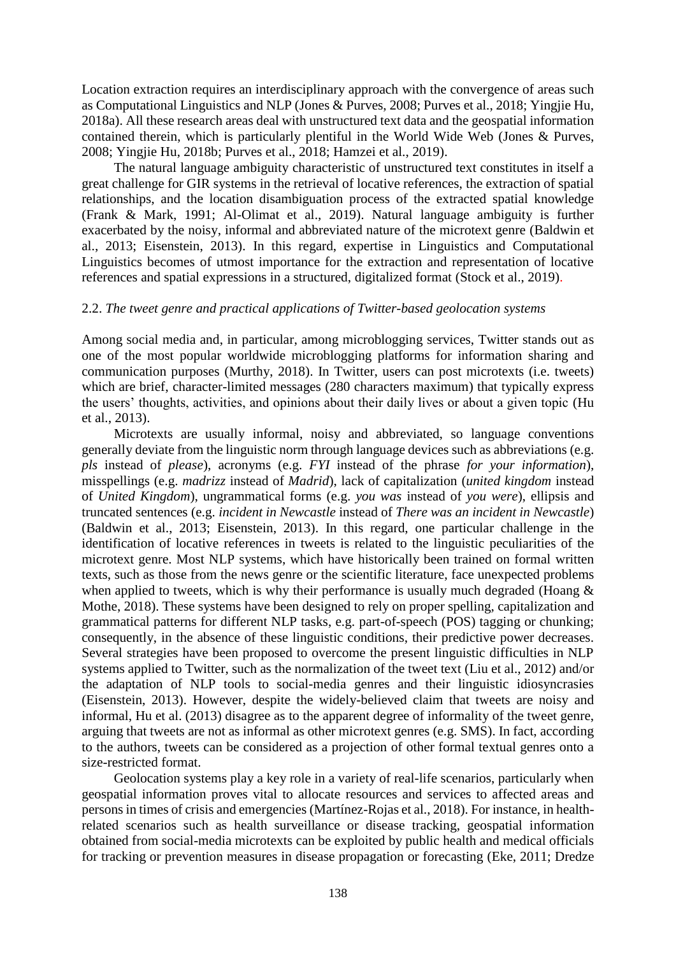Location extraction requires an interdisciplinary approach with the convergence of areas such as Computational Linguistics and NLP (Jones & Purves, 2008; Purves et al., 2018; Yingjie Hu, 2018a). All these research areas deal with unstructured text data and the geospatial information contained therein, which is particularly plentiful in the World Wide Web (Jones & Purves, 2008; Yingjie Hu, 2018b; Purves et al., 2018; Hamzei et al., 2019).

The natural language ambiguity characteristic of unstructured text constitutes in itself a great challenge for GIR systems in the retrieval of locative references, the extraction of spatial relationships, and the location disambiguation process of the extracted spatial knowledge (Frank & Mark, 1991; Al-Olimat et al., 2019). Natural language ambiguity is further exacerbated by the noisy, informal and abbreviated nature of the microtext genre (Baldwin et al., 2013; Eisenstein, 2013). In this regard, expertise in Linguistics and Computational Linguistics becomes of utmost importance for the extraction and representation of locative references and spatial expressions in a structured, digitalized format (Stock et al., 2019).

#### 2.2. *The tweet genre and practical applications of Twitter-based geolocation systems*

Among social media and, in particular, among microblogging services, Twitter stands out as one of the most popular worldwide microblogging platforms for information sharing and communication purposes (Murthy, 2018). In Twitter, users can post microtexts (i.e. tweets) which are brief, character-limited messages (280 characters maximum) that typically express the users' thoughts, activities, and opinions about their daily lives or about a given topic (Hu et al., 2013).

Microtexts are usually informal, noisy and abbreviated, so language conventions generally deviate from the linguistic norm through language devices such as abbreviations (e.g. *pls* instead of *please*), acronyms (e.g. *FYI* instead of the phrase *for your information*), misspellings (e.g. *madrizz* instead of *Madrid*), lack of capitalization (*united kingdom* instead of *United Kingdom*), ungrammatical forms (e.g. *you was* instead of *you were*), ellipsis and truncated sentences (e.g. *incident in Newcastle* instead of *There was an incident in Newcastle*) (Baldwin et al., 2013; Eisenstein, 2013). In this regard, one particular challenge in the identification of locative references in tweets is related to the linguistic peculiarities of the microtext genre. Most NLP systems, which have historically been trained on formal written texts, such as those from the news genre or the scientific literature, face unexpected problems when applied to tweets, which is why their performance is usually much degraded (Hoang  $\&$ Mothe, 2018). These systems have been designed to rely on proper spelling, capitalization and grammatical patterns for different NLP tasks, e.g. part-of-speech (POS) tagging or chunking; consequently, in the absence of these linguistic conditions, their predictive power decreases. Several strategies have been proposed to overcome the present linguistic difficulties in NLP systems applied to Twitter, such as the normalization of the tweet text (Liu et al., 2012) and/or the adaptation of NLP tools to social-media genres and their linguistic idiosyncrasies (Eisenstein, 2013). However, despite the widely-believed claim that tweets are noisy and informal, Hu et al. (2013) disagree as to the apparent degree of informality of the tweet genre, arguing that tweets are not as informal as other microtext genres (e.g. SMS). In fact, according to the authors, tweets can be considered as a projection of other formal textual genres onto a size-restricted format.

Geolocation systems play a key role in a variety of real-life scenarios, particularly when geospatial information proves vital to allocate resources and services to affected areas and persons in times of crisis and emergencies (Martínez-Rojas et al., 2018). For instance, in healthrelated scenarios such as health surveillance or disease tracking, geospatial information obtained from social-media microtexts can be exploited by public health and medical officials for tracking or prevention measures in disease propagation or forecasting (Eke, 2011; Dredze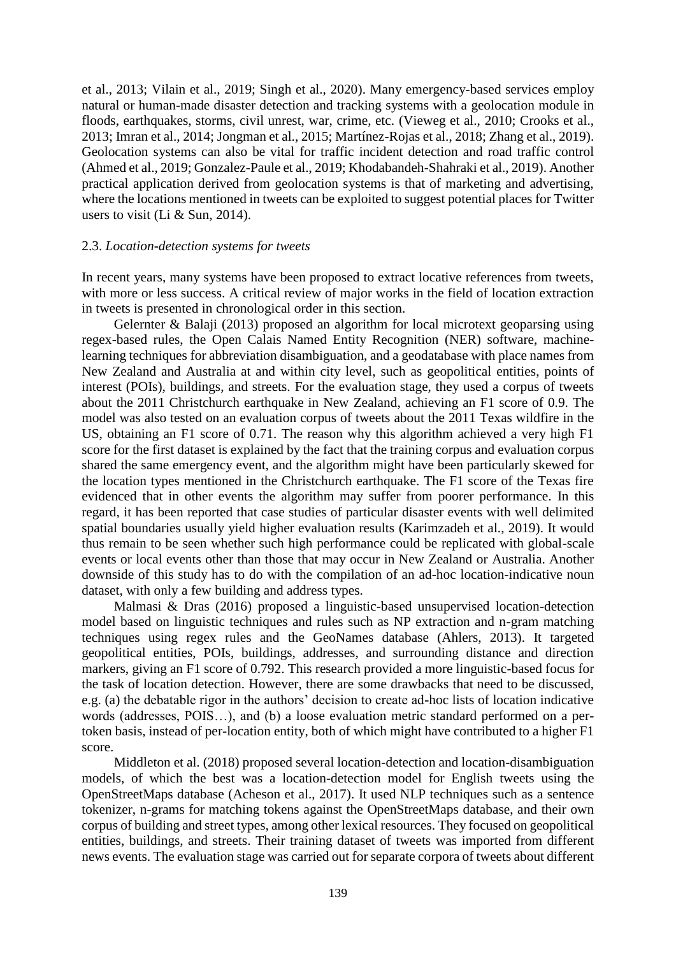et al., 2013; Vilain et al., 2019; Singh et al., 2020). Many emergency-based services employ natural or human-made disaster detection and tracking systems with a geolocation module in floods, earthquakes, storms, civil unrest, war, crime, etc. (Vieweg et al., 2010; Crooks et al., 2013; Imran et al., 2014; Jongman et al., 2015; Martínez-Rojas et al., 2018; Zhang et al., 2019). Geolocation systems can also be vital for traffic incident detection and road traffic control (Ahmed et al., 2019; Gonzalez-Paule et al., 2019; Khodabandeh-Shahraki et al., 2019). Another practical application derived from geolocation systems is that of marketing and advertising, where the locations mentioned in tweets can be exploited to suggest potential places for Twitter users to visit (Li & Sun, 2014).

#### 2.3. *Location-detection systems for tweets*

In recent years, many systems have been proposed to extract locative references from tweets, with more or less success. A critical review of major works in the field of location extraction in tweets is presented in chronological order in this section.

Gelernter & Balaji (2013) proposed an algorithm for local microtext geoparsing using regex-based rules, the Open Calais Named Entity Recognition (NER) software, machinelearning techniques for abbreviation disambiguation, and a geodatabase with place names from New Zealand and Australia at and within city level, such as geopolitical entities, points of interest (POIs), buildings, and streets. For the evaluation stage, they used a corpus of tweets about the 2011 Christchurch earthquake in New Zealand, achieving an F1 score of 0.9. The model was also tested on an evaluation corpus of tweets about the 2011 Texas wildfire in the US, obtaining an F1 score of 0.71. The reason why this algorithm achieved a very high F1 score for the first dataset is explained by the fact that the training corpus and evaluation corpus shared the same emergency event, and the algorithm might have been particularly skewed for the location types mentioned in the Christchurch earthquake. The F1 score of the Texas fire evidenced that in other events the algorithm may suffer from poorer performance. In this regard, it has been reported that case studies of particular disaster events with well delimited spatial boundaries usually yield higher evaluation results (Karimzadeh et al., 2019). It would thus remain to be seen whether such high performance could be replicated with global-scale events or local events other than those that may occur in New Zealand or Australia. Another downside of this study has to do with the compilation of an ad-hoc location-indicative noun dataset, with only a few building and address types.

Malmasi & Dras (2016) proposed a linguistic-based unsupervised location-detection model based on linguistic techniques and rules such as NP extraction and n-gram matching techniques using regex rules and the GeoNames database (Ahlers, 2013). It targeted geopolitical entities, POIs, buildings, addresses, and surrounding distance and direction markers, giving an F1 score of 0.792. This research provided a more linguistic-based focus for the task of location detection. However, there are some drawbacks that need to be discussed, e.g. (a) the debatable rigor in the authors' decision to create ad-hoc lists of location indicative words (addresses, POIS...), and (b) a loose evaluation metric standard performed on a pertoken basis, instead of per-location entity, both of which might have contributed to a higher F1 score.

Middleton et al. (2018) proposed several location-detection and location-disambiguation models, of which the best was a location-detection model for English tweets using the OpenStreetMaps database (Acheson et al., 2017). It used NLP techniques such as a sentence tokenizer, n-grams for matching tokens against the OpenStreetMaps database, and their own corpus of building and street types, among other lexical resources. They focused on geopolitical entities, buildings, and streets. Their training dataset of tweets was imported from different news events. The evaluation stage was carried out for separate corpora of tweets about different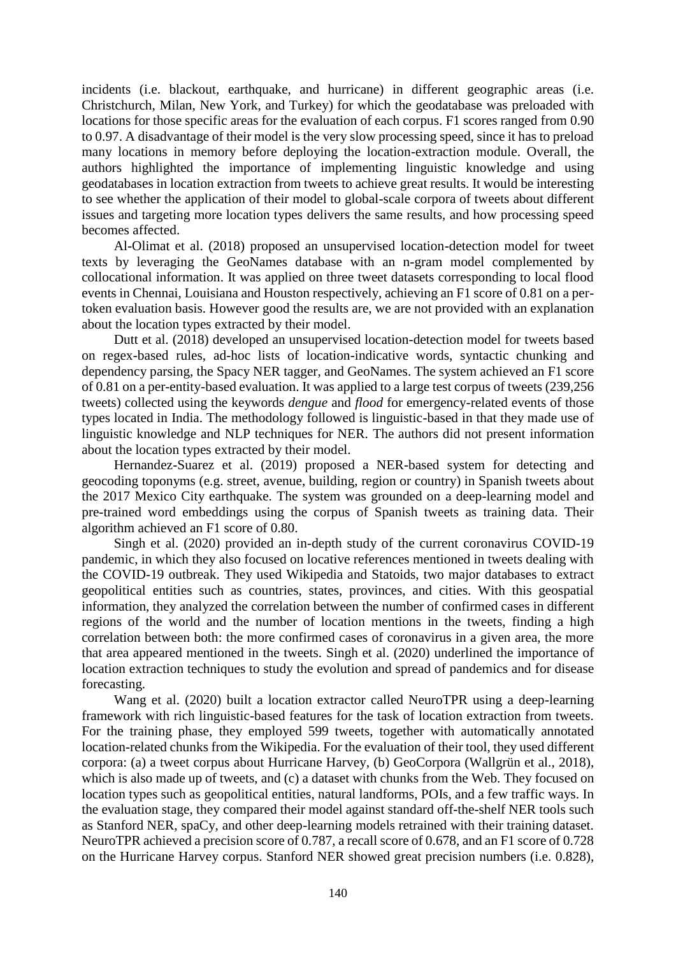incidents (i.e. blackout, earthquake, and hurricane) in different geographic areas (i.e. Christchurch, Milan, New York, and Turkey) for which the geodatabase was preloaded with locations for those specific areas for the evaluation of each corpus. F1 scores ranged from 0.90 to 0.97. A disadvantage of their model is the very slow processing speed, since it has to preload many locations in memory before deploying the location-extraction module. Overall, the authors highlighted the importance of implementing linguistic knowledge and using geodatabases in location extraction from tweets to achieve great results. It would be interesting to see whether the application of their model to global-scale corpora of tweets about different issues and targeting more location types delivers the same results, and how processing speed becomes affected.

Al-Olimat et al. (2018) proposed an unsupervised location-detection model for tweet texts by leveraging the GeoNames database with an n-gram model complemented by collocational information. It was applied on three tweet datasets corresponding to local flood events in Chennai, Louisiana and Houston respectively, achieving an F1 score of 0.81 on a pertoken evaluation basis. However good the results are, we are not provided with an explanation about the location types extracted by their model.

Dutt et al. (2018) developed an unsupervised location-detection model for tweets based on regex-based rules, ad-hoc lists of location-indicative words, syntactic chunking and dependency parsing, the Spacy NER tagger, and GeoNames. The system achieved an F1 score of 0.81 on a per-entity-based evaluation. It was applied to a large test corpus of tweets (239,256 tweets) collected using the keywords *dengue* and *flood* for emergency-related events of those types located in India. The methodology followed is linguistic-based in that they made use of linguistic knowledge and NLP techniques for NER. The authors did not present information about the location types extracted by their model.

Hernandez-Suarez et al. (2019) proposed a NER-based system for detecting and geocoding toponyms (e.g. street, avenue, building, region or country) in Spanish tweets about the 2017 Mexico City earthquake. The system was grounded on a deep-learning model and pre-trained word embeddings using the corpus of Spanish tweets as training data. Their algorithm achieved an F1 score of 0.80.

Singh et al. (2020) provided an in-depth study of the current coronavirus COVID-19 pandemic, in which they also focused on locative references mentioned in tweets dealing with the COVID-19 outbreak. They used Wikipedia and Statoids, two major databases to extract geopolitical entities such as countries, states, provinces, and cities. With this geospatial information, they analyzed the correlation between the number of confirmed cases in different regions of the world and the number of location mentions in the tweets, finding a high correlation between both: the more confirmed cases of coronavirus in a given area, the more that area appeared mentioned in the tweets. Singh et al. (2020) underlined the importance of location extraction techniques to study the evolution and spread of pandemics and for disease forecasting.

Wang et al. (2020) built a location extractor called NeuroTPR using a deep-learning framework with rich linguistic-based features for the task of location extraction from tweets. For the training phase, they employed 599 tweets, together with automatically annotated location-related chunks from the Wikipedia. For the evaluation of their tool, they used different corpora: (a) a tweet corpus about Hurricane Harvey, (b) GeoCorpora (Wallgrün et al., 2018), which is also made up of tweets, and (c) a dataset with chunks from the Web. They focused on location types such as geopolitical entities, natural landforms, POIs, and a few traffic ways. In the evaluation stage, they compared their model against standard off-the-shelf NER tools such as Stanford NER, spaCy, and other deep-learning models retrained with their training dataset. NeuroTPR achieved a precision score of 0.787, a recall score of 0.678, and an F1 score of 0.728 on the Hurricane Harvey corpus. Stanford NER showed great precision numbers (i.e. 0.828),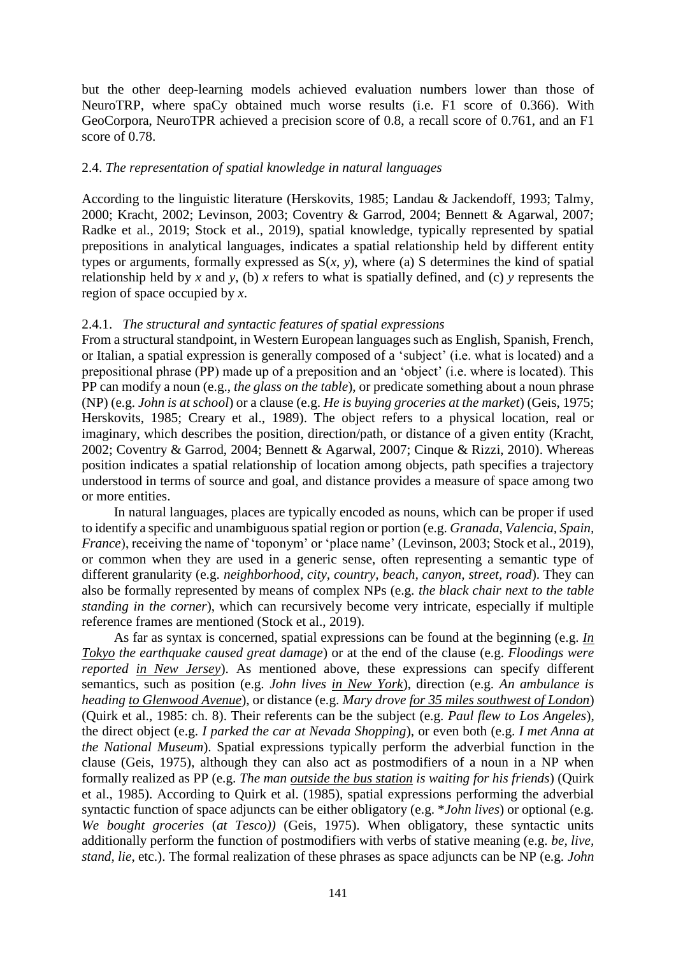but the other deep-learning models achieved evaluation numbers lower than those of NeuroTRP, where spaCy obtained much worse results (i.e. F1 score of 0.366). With GeoCorpora, NeuroTPR achieved a precision score of 0.8, a recall score of 0.761, and an F1 score of 0.78.

# 2.4. *The representation of spatial knowledge in natural languages*

According to the linguistic literature (Herskovits, 1985; Landau & Jackendoff, 1993; Talmy, 2000; Kracht, 2002; Levinson, 2003; Coventry & Garrod, 2004; Bennett & Agarwal, 2007; Radke et al., 2019; Stock et al., 2019), spatial knowledge, typically represented by spatial prepositions in analytical languages, indicates a spatial relationship held by different entity types or arguments, formally expressed as  $S(x, y)$ , where (a) S determines the kind of spatial relationship held by *x* and *y*, (b) *x* refers to what is spatially defined, and (c) *y* represents the region of space occupied by *x*.

### 2.4.1. *The structural and syntactic features of spatial expressions*

From a structural standpoint, in Western European languages such as English, Spanish, French, or Italian, a spatial expression is generally composed of a 'subject' (i.e. what is located) and a prepositional phrase (PP) made up of a preposition and an 'object' (i.e. where is located). This PP can modify a noun (e.g., *the glass on the table*), or predicate something about a noun phrase (NP) (e.g. *John is at school*) or a clause (e.g. *He is buying groceries at the market*) (Geis, 1975; Herskovits, 1985; Creary et al., 1989). The object refers to a physical location, real or imaginary, which describes the position, direction/path, or distance of a given entity (Kracht, 2002; Coventry & Garrod, 2004; Bennett & Agarwal, 2007; Cinque & Rizzi, 2010). Whereas position indicates a spatial relationship of location among objects, path specifies a trajectory understood in terms of source and goal, and distance provides a measure of space among two or more entities.

In natural languages, places are typically encoded as nouns, which can be proper if used to identify a specific and unambiguous spatial region or portion (e.g. *Granada, Valencia, Spain, France*), receiving the name of 'toponym' or 'place name' (Levinson, 2003; Stock et al., 2019), or common when they are used in a generic sense, often representing a semantic type of different granularity (e.g. *neighborhood, city, country, beach, canyon, street, road*). They can also be formally represented by means of complex NPs (e.g. *the black chair next to the table standing in the corner*), which can recursively become very intricate, especially if multiple reference frames are mentioned (Stock et al., 2019).

As far as syntax is concerned, spatial expressions can be found at the beginning (e.g. *In Tokyo the earthquake caused great damage*) or at the end of the clause (e.g. *Floodings were reported in New Jersey*). As mentioned above, these expressions can specify different semantics, such as position (e.g. *John lives in New York*), direction (e.g. *An ambulance is heading to Glenwood Avenue*), or distance (e.g. *Mary drove for 35 miles southwest of London*) (Quirk et al., 1985: ch. 8). Their referents can be the subject (e.g. *Paul flew to Los Angeles*), the direct object (e.g. *I parked the car at Nevada Shopping*), or even both (e.g. *I met Anna at the National Museum*). Spatial expressions typically perform the adverbial function in the clause (Geis, 1975), although they can also act as postmodifiers of a noun in a NP when formally realized as PP (e.g. *The man outside the bus station is waiting for his friends*) (Quirk et al., 1985). According to Quirk et al. (1985), spatial expressions performing the adverbial syntactic function of space adjuncts can be either obligatory (e.g. \**John lives*) or optional (e.g. *We bought groceries* (*at Tesco))* (Geis, 1975). When obligatory, these syntactic units additionally perform the function of postmodifiers with verbs of stative meaning (e.g. *be, live, stand, lie*, etc.). The formal realization of these phrases as space adjuncts can be NP (e.g. *John*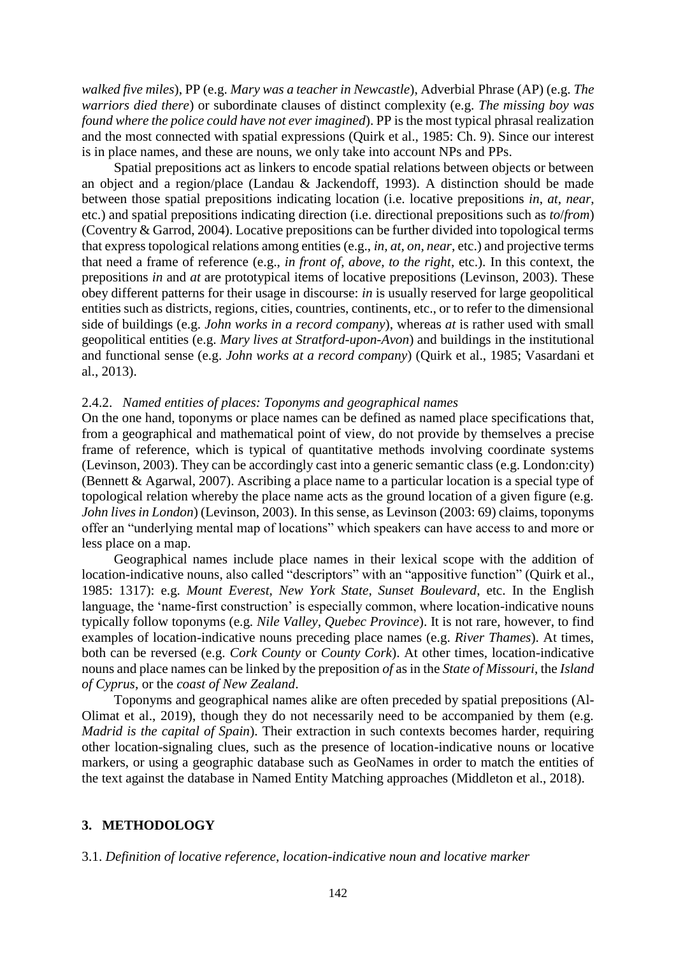*walked five miles*), PP (e.g. *Mary was a teacher in Newcastle*), Adverbial Phrase (AP) (e.g. *The warriors died there*) or subordinate clauses of distinct complexity (e.g. *The missing boy was found where the police could have not ever imagined*). PP is the most typical phrasal realization and the most connected with spatial expressions (Quirk et al., 1985: Ch. 9). Since our interest is in place names, and these are nouns, we only take into account NPs and PPs.

Spatial prepositions act as linkers to encode spatial relations between objects or between an object and a region/place (Landau & Jackendoff, 1993). A distinction should be made between those spatial prepositions indicating location (i.e. locative prepositions *in*, *at*, *near*, etc.) and spatial prepositions indicating direction (i.e. directional prepositions such as *to*/*from*) (Coventry & Garrod, 2004). Locative prepositions can be further divided into topological terms that express topological relations among entities (e.g., *in, at, on, near*, etc.) and projective terms that need a frame of reference (e.g., *in front of*, *above*, *to the right*, etc.). In this context, the prepositions *in* and *at* are prototypical items of locative prepositions (Levinson, 2003). These obey different patterns for their usage in discourse: *in* is usually reserved for large geopolitical entities such as districts, regions, cities, countries, continents, etc., or to refer to the dimensional side of buildings (e.g. *John works in a record company*), whereas *at* is rather used with small geopolitical entities (e.g. *Mary lives at Stratford-upon-Avon*) and buildings in the institutional and functional sense (e.g. *John works at a record company*) (Quirk et al., 1985; Vasardani et al., 2013).

#### 2.4.2. *Named entities of places: Toponyms and geographical names*

On the one hand, toponyms or place names can be defined as named place specifications that, from a geographical and mathematical point of view, do not provide by themselves a precise frame of reference, which is typical of quantitative methods involving coordinate systems (Levinson, 2003). They can be accordingly cast into a generic semantic class (e.g. London:city) (Bennett & Agarwal, 2007). Ascribing a place name to a particular location is a special type of topological relation whereby the place name acts as the ground location of a given figure (e.g. *John lives in London*) (Levinson, 2003). In this sense, as Levinson (2003: 69) claims, toponyms offer an "underlying mental map of locations" which speakers can have access to and more or less place on a map.

Geographical names include place names in their lexical scope with the addition of location-indicative nouns, also called "descriptors" with an "appositive function" (Quirk et al., 1985: 1317): e.g. *Mount Everest, New York State, Sunset Boulevard*, etc. In the English language, the 'name-first construction' is especially common, where location-indicative nouns typically follow toponyms (e.g. *Nile Valley, Quebec Province*). It is not rare, however, to find examples of location-indicative nouns preceding place names (e.g. *River Thames*). At times, both can be reversed (e.g. *Cork County* or *County Cork*). At other times, location-indicative nouns and place names can be linked by the preposition *of* as in the *State of Missouri*, the *Island of Cyprus*, or the *coast of New Zealand*.

Toponyms and geographical names alike are often preceded by spatial prepositions (Al-Olimat et al., 2019), though they do not necessarily need to be accompanied by them (e.g. *Madrid is the capital of Spain*). Their extraction in such contexts becomes harder, requiring other location-signaling clues, such as the presence of location-indicative nouns or locative markers, or using a geographic database such as GeoNames in order to match the entities of the text against the database in Named Entity Matching approaches (Middleton et al., 2018).

#### **3. METHODOLOGY**

3.1. *Definition of locative reference, location-indicative noun and locative marker*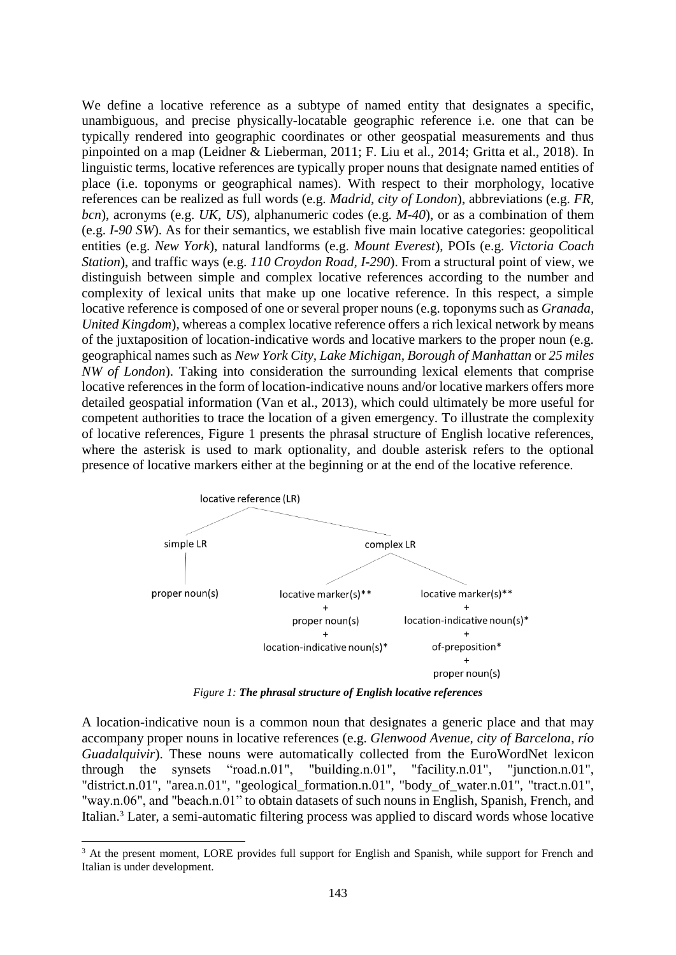We define a locative reference as a subtype of named entity that designates a specific, unambiguous, and precise physically-locatable geographic reference i.e. one that can be typically rendered into geographic coordinates or other geospatial measurements and thus pinpointed on a map (Leidner & Lieberman, 2011; F. Liu et al., 2014; Gritta et al., 2018). In linguistic terms, locative references are typically proper nouns that designate named entities of place (i.e. toponyms or geographical names). With respect to their morphology, locative references can be realized as full words (e.g. *Madrid, city of London*), abbreviations (e.g. *FR, bcn*), acronyms (e.g. *UK, US*), alphanumeric codes (e.g. *M-40*), or as a combination of them (e.g. *I-90 SW*). As for their semantics, we establish five main locative categories: geopolitical entities (e.g. *New York*), natural landforms (e.g. *Mount Everest*), POIs (e.g. *Victoria Coach Station*), and traffic ways (e.g. *110 Croydon Road, I-290*). From a structural point of view, we distinguish between simple and complex locative references according to the number and complexity of lexical units that make up one locative reference. In this respect, a simple locative reference is composed of one or several proper nouns (e.g. toponyms such as *Granada, United Kingdom*), whereas a complex locative reference offers a rich lexical network by means of the juxtaposition of location-indicative words and locative markers to the proper noun (e.g. geographical names such as *New York City, Lake Michigan, Borough of Manhattan* or *25 miles NW of London*). Taking into consideration the surrounding lexical elements that comprise locative references in the form of location-indicative nouns and/or locative markers offers more detailed geospatial information (Van et al., 2013), which could ultimately be more useful for competent authorities to trace the location of a given emergency. To illustrate the complexity of locative references, Figure 1 presents the phrasal structure of English locative references, where the asterisk is used to mark optionality, and double asterisk refers to the optional presence of locative markers either at the beginning or at the end of the locative reference.



*Figure 1: The phrasal structure of English locative references*

A location-indicative noun is a common noun that designates a generic place and that may accompany proper nouns in locative references (e.g. *Glenwood Avenue, city of Barcelona*, *río Guadalquivir*). These nouns were automatically collected from the EuroWordNet lexicon through the synsets "road.n.01", "building.n.01", "facility.n.01", "junction.n.01", "district.n.01", "area.n.01", "geological\_formation.n.01", "body\_of\_water.n.01", "tract.n.01", "way.n.06", and "beach.n.01" to obtain datasets of such nouns in English, Spanish, French, and Italian. <sup>3</sup> Later, a semi-automatic filtering process was applied to discard words whose locative

-

<sup>&</sup>lt;sup>3</sup> At the present moment, LORE provides full support for English and Spanish, while support for French and Italian is under development.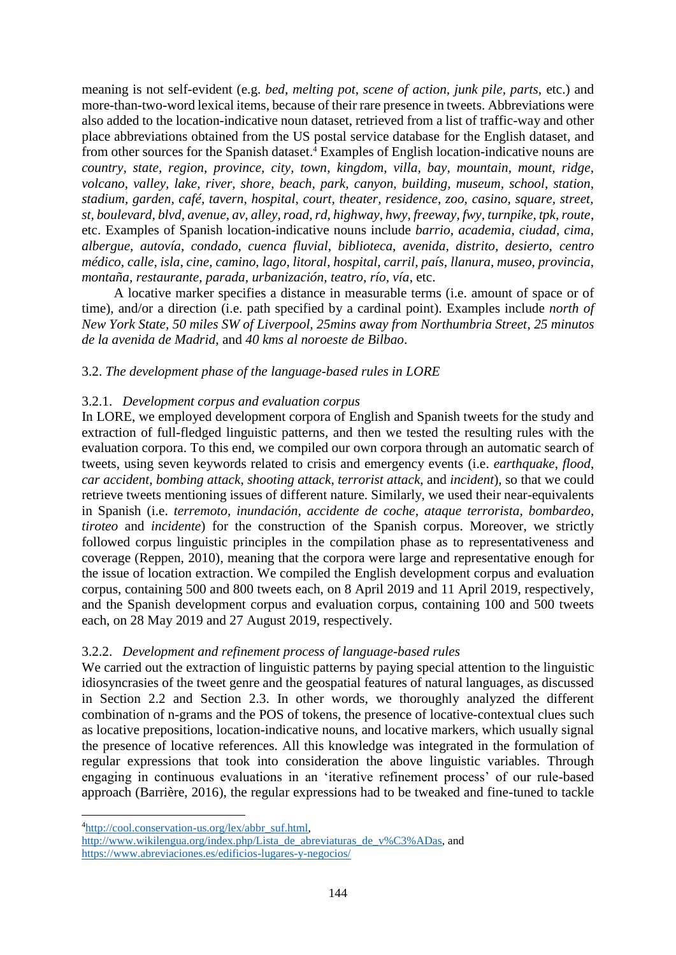meaning is not self-evident (e.g. *bed, melting pot, scene of action, junk pile, parts,* etc.) and more-than-two-word lexical items, because of their rare presence in tweets. Abbreviations were also added to the location-indicative noun dataset, retrieved from a list of traffic-way and other place abbreviations obtained from the US postal service database for the English dataset, and from other sources for the Spanish dataset. <sup>4</sup> Examples of English location-indicative nouns are *country, state, region, province, city, town, kingdom, villa, bay, mountain, mount, ridge, volcano, valley, lake, river, shore, beach, park, canyon, building, museum, school, station, stadium, garden, café, tavern, hospital, court, theater, residence, zoo, casino, square, street, st, boulevard, blvd, avenue, av, alley, road, rd, highway, hwy, freeway, fwy, turnpike, tpk, route*, etc. Examples of Spanish location-indicative nouns include *barrio, academia, ciudad, cima, albergue, autovía, condado, cuenca fluvial, biblioteca, avenida, distrito, desierto, centro médico, calle, isla, cine, camino, lago, litoral, hospital, carril, país, llanura, museo, provincia, montaña, restaurante, parada, urbanización, teatro, río, vía*, etc.

A locative marker specifies a distance in measurable terms (i.e. amount of space or of time), and/or a direction (i.e. path specified by a cardinal point). Examples include *north of New York State, 50 miles SW of Liverpool, 25mins away from Northumbria Street*, *25 minutos de la avenida de Madrid*, and *40 kms al noroeste de Bilbao*.

# 3.2. *The development phase of the language-based rules in LORE*

# 3.2.1. *Development corpus and evaluation corpus*

In LORE, we employed development corpora of English and Spanish tweets for the study and extraction of full-fledged linguistic patterns, and then we tested the resulting rules with the evaluation corpora. To this end, we compiled our own corpora through an automatic search of tweets, using seven keywords related to crisis and emergency events (i.e. *earthquake*, *flood*, *car accident*, *bombing attack*, *shooting attack*, *terrorist attack*, and *incident*), so that we could retrieve tweets mentioning issues of different nature. Similarly, we used their near-equivalents in Spanish (i.e. *terremoto, inundación, accidente de coche, ataque terrorista, bombardeo, tiroteo* and *incidente*) for the construction of the Spanish corpus. Moreover, we strictly followed corpus linguistic principles in the compilation phase as to representativeness and coverage (Reppen, 2010), meaning that the corpora were large and representative enough for the issue of location extraction. We compiled the English development corpus and evaluation corpus, containing 500 and 800 tweets each, on 8 April 2019 and 11 April 2019, respectively, and the Spanish development corpus and evaluation corpus, containing 100 and 500 tweets each, on 28 May 2019 and 27 August 2019, respectively.

# 3.2.2. *Development and refinement process of language-based rules*

We carried out the extraction of linguistic patterns by paying special attention to the linguistic idiosyncrasies of the tweet genre and the geospatial features of natural languages, as discussed in Section 2.2 and Section 2.3. In other words, we thoroughly analyzed the different combination of n-grams and the POS of tokens, the presence of locative-contextual clues such as locative prepositions, location-indicative nouns, and locative markers, which usually signal the presence of locative references. All this knowledge was integrated in the formulation of regular expressions that took into consideration the above linguistic variables. Through engaging in continuous evaluations in an 'iterative refinement process' of our rule-based approach (Barrière, 2016), the regular expressions had to be tweaked and fine-tuned to tackle

1

<sup>4</sup>[http://cool.conservation-us.org/lex/abbr\\_suf.html,](http://cool.conservation-us.org/lex/abbr_suf.html)

[http://www.wikilengua.org/index.php/Lista\\_de\\_abreviaturas\\_de\\_v%C3%ADas,](http://www.wikilengua.org/index.php/Lista_de_abreviaturas_de_v%C3%ADas) and <https://www.abreviaciones.es/edificios-lugares-y-negocios/>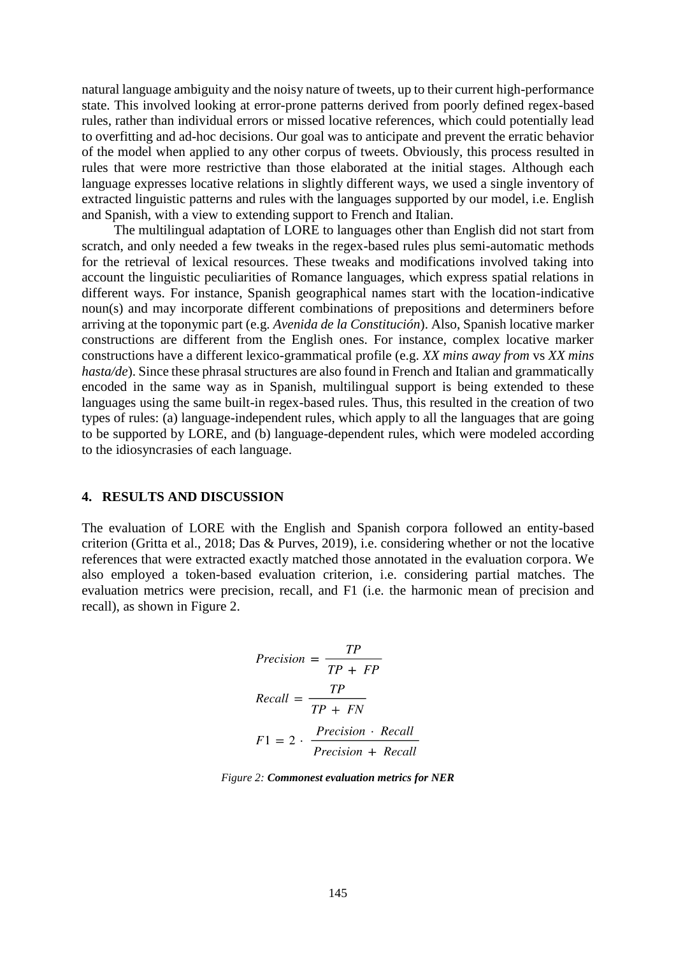natural language ambiguity and the noisy nature of tweets, up to their current high-performance state. This involved looking at error-prone patterns derived from poorly defined regex-based rules, rather than individual errors or missed locative references, which could potentially lead to overfitting and ad-hoc decisions. Our goal was to anticipate and prevent the erratic behavior of the model when applied to any other corpus of tweets. Obviously, this process resulted in rules that were more restrictive than those elaborated at the initial stages. Although each language expresses locative relations in slightly different ways, we used a single inventory of extracted linguistic patterns and rules with the languages supported by our model, i.e. English and Spanish, with a view to extending support to French and Italian.

The multilingual adaptation of LORE to languages other than English did not start from scratch, and only needed a few tweaks in the regex-based rules plus semi-automatic methods for the retrieval of lexical resources. These tweaks and modifications involved taking into account the linguistic peculiarities of Romance languages, which express spatial relations in different ways. For instance, Spanish geographical names start with the location-indicative noun(s) and may incorporate different combinations of prepositions and determiners before arriving at the toponymic part (e.g. *Avenida de la Constitución*). Also, Spanish locative marker constructions are different from the English ones. For instance, complex locative marker constructions have a different lexico-grammatical profile (e.g. *XX mins away from* vs *XX mins hasta/de*). Since these phrasal structures are also found in French and Italian and grammatically encoded in the same way as in Spanish, multilingual support is being extended to these languages using the same built-in regex-based rules. Thus, this resulted in the creation of two types of rules: (a) language-independent rules, which apply to all the languages that are going to be supported by LORE, and (b) language-dependent rules, which were modeled according to the idiosyncrasies of each language.

#### **4. RESULTS AND DISCUSSION**

The evaluation of LORE with the English and Spanish corpora followed an entity-based criterion (Gritta et al., 2018; Das & Purves, 2019), i.e. considering whether or not the locative references that were extracted exactly matched those annotated in the evaluation corpora. We also employed a token-based evaluation criterion, i.e. considering partial matches. The evaluation metrics were precision, recall, and F1 (i.e. the harmonic mean of precision and recall), as shown in Figure 2.

$$
Precision = \frac{TP}{TP + FP}
$$

$$
Recall = \frac{TP}{TP + FN}
$$

$$
F1 = 2 \cdot \frac{Precision \cdot Recall}{Precision + Recall}
$$

*Figure 2: Commonest evaluation metrics for NER*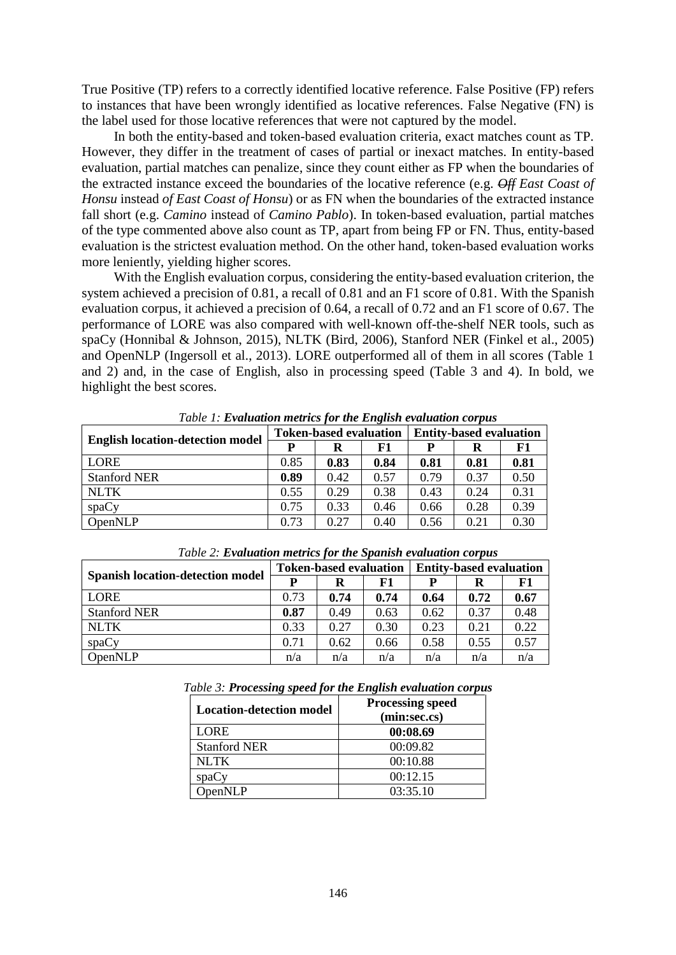True Positive (TP) refers to a correctly identified locative reference. False Positive (FP) refers to instances that have been wrongly identified as locative references. False Negative (FN) is the label used for those locative references that were not captured by the model.

In both the entity-based and token-based evaluation criteria, exact matches count as TP. However, they differ in the treatment of cases of partial or inexact matches. In entity-based evaluation, partial matches can penalize, since they count either as FP when the boundaries of the extracted instance exceed the boundaries of the locative reference (e.g. *Off East Coast of Honsu* instead *of East Coast of Honsu*) or as FN when the boundaries of the extracted instance fall short (e.g. *Camino* instead of *Camino Pablo*). In token-based evaluation, partial matches of the type commented above also count as TP, apart from being FP or FN. Thus, entity-based evaluation is the strictest evaluation method. On the other hand, token-based evaluation works more leniently, yielding higher scores.

With the English evaluation corpus, considering the entity-based evaluation criterion, the system achieved a precision of 0.81, a recall of 0.81 and an F1 score of 0.81. With the Spanish evaluation corpus, it achieved a precision of 0.64, a recall of 0.72 and an F1 score of 0.67. The performance of LORE was also compared with well-known off-the-shelf NER tools, such as spaCy (Honnibal & Johnson, 2015), NLTK (Bird, 2006), Stanford NER (Finkel et al., 2005) and OpenNLP (Ingersoll et al., 2013). LORE outperformed all of them in all scores (Table 1 and 2) and, in the case of English, also in processing speed (Table 3 and 4). In bold, we highlight the best scores.

| <b>English location-detection model</b> | <b>Token-based evaluation</b> |      |      | <b>Entity-based evaluation</b> |      |      |
|-----------------------------------------|-------------------------------|------|------|--------------------------------|------|------|
|                                         | P                             | R    | F1   | P                              | R    | F1   |
| LORE                                    | 0.85                          | 0.83 | 0.84 | 0.81                           | 0.81 | 0.81 |
| <b>Stanford NER</b>                     | 0.89                          | 0.42 | 0.57 | 0.79                           | 0.37 | 0.50 |
| <b>NLTK</b>                             | 0.55                          | 0.29 | 0.38 | 0.43                           | 0.24 | 0.31 |
| spaCy                                   | 0.75                          | 0.33 | 0.46 | 0.66                           | 0.28 | 0.39 |
| OpenNLP                                 | 0.73                          | 0.27 | 0.40 | 0.56                           | 0.21 | 0.30 |

*Table 1: Evaluation metrics for the English evaluation corpus*

| Twele <b>E</b> , <b>E</b> , annuncin men les for the spuntshed runnition corpus |                               |      |      |                                |      |      |
|---------------------------------------------------------------------------------|-------------------------------|------|------|--------------------------------|------|------|
| <b>Spanish location-detection model</b>                                         | <b>Token-based evaluation</b> |      |      | <b>Entity-based evaluation</b> |      |      |
|                                                                                 | P                             | R    | F1   | P                              | R    | F1   |
| LORE                                                                            | 0.73                          | 0.74 | 0.74 | 0.64                           | 0.72 | 0.67 |
| <b>Stanford NER</b>                                                             | 0.87                          | 0.49 | 0.63 | 0.62                           | 0.37 | 0.48 |
| <b>NLTK</b>                                                                     | 0.33                          | 0.27 | 0.30 | 0.23                           | 0.21 | 0.22 |
| spaCy                                                                           | 0.71                          | 0.62 | 0.66 | 0.58                           | 0.55 | 0.57 |
| OpenNLP                                                                         | n/a                           | n/a  | n/a  | n/a                            | n/a  | n/a  |

*Table 2: Evaluation metrics for the Spanish evaluation corpus*

*Table 3: Processing speed for the English evaluation corpus*

| <b>Location-detection model</b> | <b>Processing speed</b><br>(min:sec.cs) |
|---------------------------------|-----------------------------------------|
| LORE                            | 00:08.69                                |
| <b>Stanford NER</b>             | 00:09.82                                |
| <b>NLTK</b>                     | 00:10.88                                |
| spaCy                           | 00:12.15                                |
| <b>OpenNLP</b>                  | 03:35.10                                |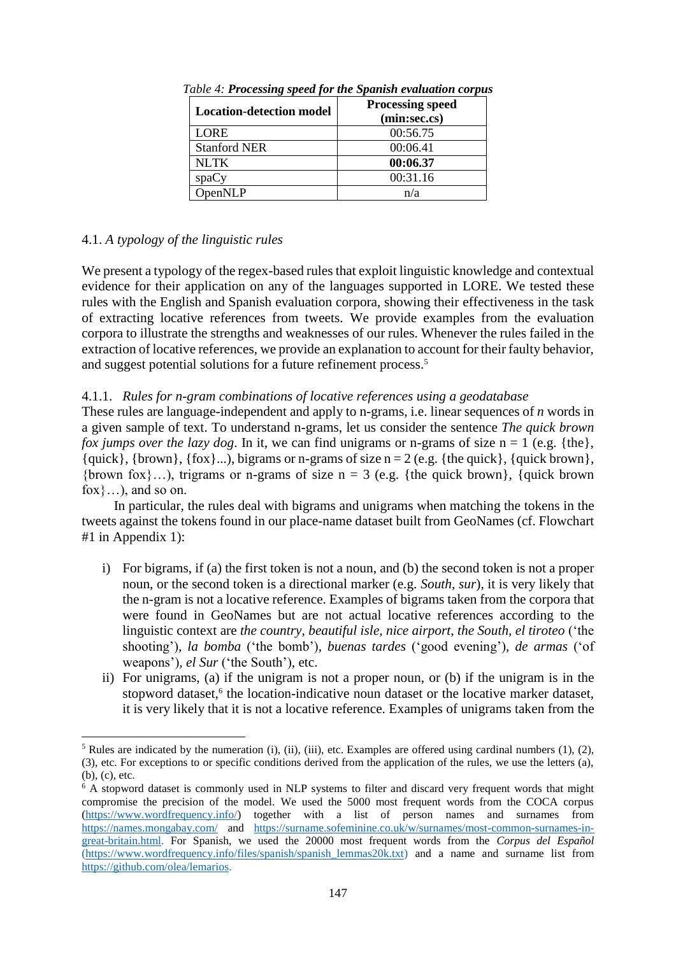| <b>Location-detection model</b> | <b>Processing speed</b><br>(min:sec.cs) |
|---------------------------------|-----------------------------------------|
| LORE                            | 00:56.75                                |
| <b>Stanford NER</b>             | 00:06.41                                |
| <b>NLTK</b>                     | 00:06.37                                |
| spaCy                           | 00:31.16                                |
| OpenNLP                         | n/a                                     |

*Table 4: Processing speed for the Spanish evaluation corpus*

### 4.1. *A typology of the linguistic rules*

1

We present a typology of the regex-based rules that exploit linguistic knowledge and contextual evidence for their application on any of the languages supported in LORE. We tested these rules with the English and Spanish evaluation corpora, showing their effectiveness in the task of extracting locative references from tweets. We provide examples from the evaluation corpora to illustrate the strengths and weaknesses of our rules. Whenever the rules failed in the extraction of locative references, we provide an explanation to account for their faulty behavior, and suggest potential solutions for a future refinement process. 5

### 4.1.1. *Rules for n-gram combinations of locative references using a geodatabase*

These rules are language-independent and apply to n-grams, i.e. linear sequences of *n* words in a given sample of text. To understand n-grams, let us consider the sentence *The quick brown fox jumps over the lazy dog.* In it, we can find unigrams or n-grams of size  $n = 1$  (e.g. {the},  ${quick}, {brown}, {fox}...$ , bigrams or n-grams of size  $n = 2$  (e.g. {the quick}, {quick brown}, {brown fox}...), trigrams or n-grams of size  $n = 3$  (e.g. {the quick brown}, {quick brown  $f$ ox $\}$ ...), and so on.

In particular, the rules deal with bigrams and unigrams when matching the tokens in the tweets against the tokens found in our place-name dataset built from GeoNames (cf. Flowchart #1 in Appendix 1):

- i) For bigrams, if (a) the first token is not a noun, and (b) the second token is not a proper noun, or the second token is a directional marker (e.g. *South*, *sur*), it is very likely that the n-gram is not a locative reference. Examples of bigrams taken from the corpora that were found in GeoNames but are not actual locative references according to the linguistic context are *the country, beautiful isle, nice airport, the South, el tiroteo* ('the shooting')*, la bomba* ('the bomb')*, buenas tardes* ('good evening')*, de armas* ('of weapons')*, el Sur* ('the South')*,* etc.
- ii) For unigrams, (a) if the unigram is not a proper noun, or (b) if the unigram is in the stopword dataset,<sup>6</sup> the location-indicative noun dataset or the locative marker dataset, it is very likely that it is not a locative reference. Examples of unigrams taken from the

<sup>&</sup>lt;sup>5</sup> Rules are indicated by the numeration (i), (ii), (iii), etc. Examples are offered using cardinal numbers (1), (2), (3), etc. For exceptions to or specific conditions derived from the application of the rules, we use the letters (a), (b), (c), etc.

 $6$  A stopword dataset is commonly used in NLP systems to filter and discard very frequent words that might compromise the precision of the model. We used the 5000 most frequent words from the COCA corpus [\(https://www.wordfrequency.info/\)](https://www.wordfrequency.info/) together with a list of person names and surnames from <https://names.mongabay.com/> and [https://surname.sofeminine.co.uk/w/surnames/most-common-surnames-in](https://surname.sofeminine.co.uk/w/surnames/most-common-surnames-in-great-britain.html)[great-britain.html.](https://surname.sofeminine.co.uk/w/surnames/most-common-surnames-in-great-britain.html) For Spanish, we used the 20000 most frequent words from the *Corpus del Español* (https://www.wordfrequency.info/files/spanish/spanish lemmas20k.txt) and a name and surname list from [https://github.com/olea/lemarios.](https://github.com/olea/lemarios)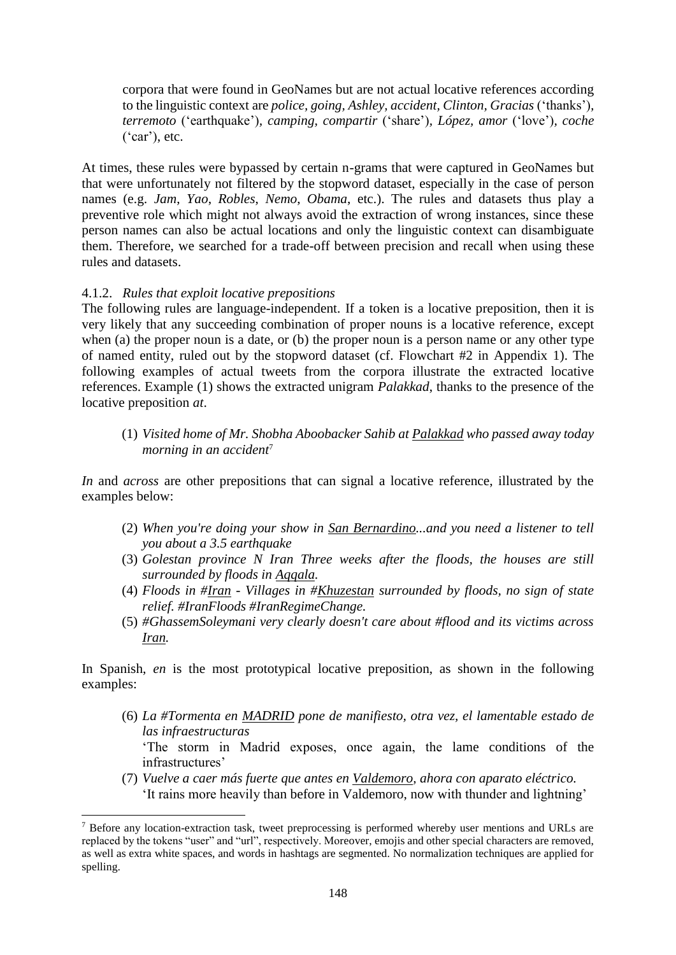corpora that were found in GeoNames but are not actual locative references according to the linguistic context are *police, going, Ashley, accident, Clinton, Gracias* ('thanks')*, terremoto* ('earthquake')*, camping, compartir* ('share')*, López, amor* ('love')*, coche* ('car'), etc.

At times, these rules were bypassed by certain n-grams that were captured in GeoNames but that were unfortunately not filtered by the stopword dataset, especially in the case of person names (e.g. *Jam*, *Yao*, *Robles*, *Nemo*, *Obama*, etc.). The rules and datasets thus play a preventive role which might not always avoid the extraction of wrong instances, since these person names can also be actual locations and only the linguistic context can disambiguate them. Therefore, we searched for a trade-off between precision and recall when using these rules and datasets.

### 4.1.2. *Rules that exploit locative prepositions*

1

The following rules are language-independent. If a token is a locative preposition, then it is very likely that any succeeding combination of proper nouns is a locative reference, except when (a) the proper noun is a date, or (b) the proper noun is a person name or any other type of named entity, ruled out by the stopword dataset (cf. Flowchart #2 in Appendix 1). The following examples of actual tweets from the corpora illustrate the extracted locative references. Example (1) shows the extracted unigram *Palakkad*, thanks to the presence of the locative preposition *at*.

(1) *Visited home of Mr. Shobha Aboobacker Sahib at Palakkad who passed away today morning in an accident*<sup>7</sup>

*In* and *across* are other prepositions that can signal a locative reference, illustrated by the examples below:

- (2) *When you're doing your show in San Bernardino...and you need a listener to tell you about a 3.5 earthquake*
- (3) *Golestan province N Iran Three weeks after the floods, the houses are still surrounded by floods in Aqqala.*
- (4) *Floods in #Iran - Villages in #Khuzestan surrounded by floods, no sign of state relief. #IranFloods #IranRegimeChange.*
- (5) *#GhassemSoleymani very clearly doesn't care about #flood and its victims across Iran.*

In Spanish, *en* is the most prototypical locative preposition, as shown in the following examples:

(6) *La #Tormenta en MADRID pone de manifiesto, otra vez, el lamentable estado de las infraestructuras*

'The storm in Madrid exposes, once again, the lame conditions of the infrastructures'

(7) *Vuelve a caer más fuerte que antes en Valdemoro, ahora con aparato eléctrico.* 'It rains more heavily than before in Valdemoro, now with thunder and lightning'

<sup>&</sup>lt;sup>7</sup> Before any location-extraction task, tweet preprocessing is performed whereby user mentions and URLs are replaced by the tokens "user" and "url", respectively. Moreover, emojis and other special characters are removed, as well as extra white spaces, and words in hashtags are segmented. No normalization techniques are applied for spelling.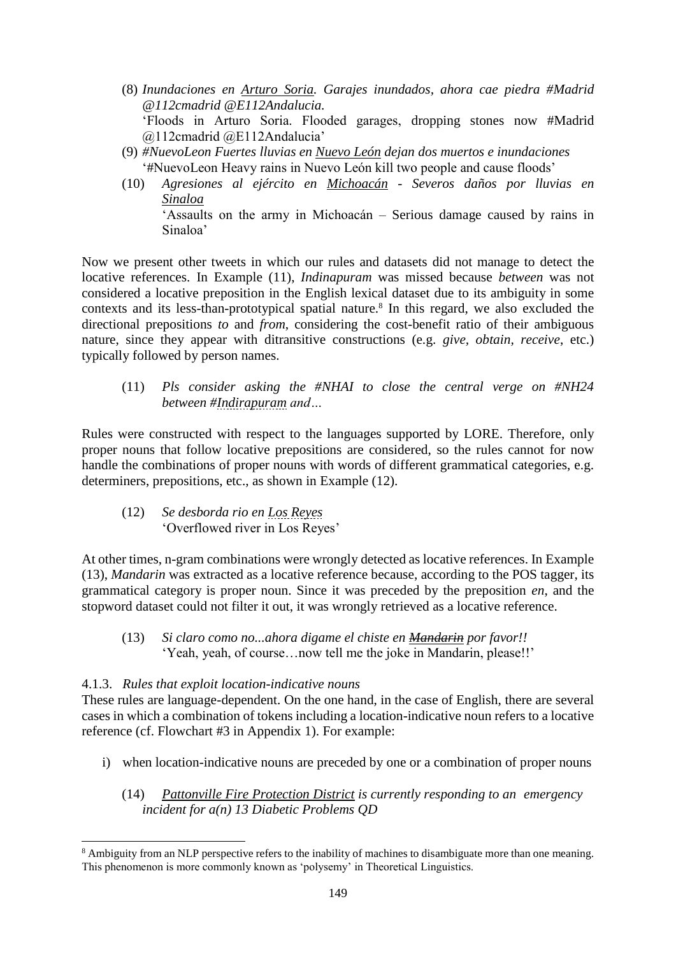- (8) *Inundaciones en Arturo Soria. Garajes inundados, ahora cae piedra #Madrid @112cmadrid @E112Andalucia.* 'Floods in Arturo Soria. Flooded garages, dropping stones now #Madrid @112cmadrid @E112Andalucia'
- (9) *#NuevoLeon Fuertes lluvias en Nuevo León dejan dos muertos e inundaciones* '#NuevoLeon Heavy rains in Nuevo León kill two people and cause floods'
- (10) *Agresiones al ejército en Michoacán - Severos daños por lluvias en Sinaloa* 'Assaults on the army in Michoacán – Serious damage caused by rains in Sinaloa'

Now we present other tweets in which our rules and datasets did not manage to detect the locative references. In Example (11), *Indinapuram* was missed because *between* was not considered a locative preposition in the English lexical dataset due to its ambiguity in some contexts and its less-than-prototypical spatial nature.<sup>8</sup> In this regard, we also excluded the directional prepositions *to* and *from*, considering the cost-benefit ratio of their ambiguous nature, since they appear with ditransitive constructions (e.g. *give, obtain, receive*, etc.) typically followed by person names.

(11) *Pls consider asking the #NHAI to close the central verge on #NH24 between #Indirapuram and…*

Rules were constructed with respect to the languages supported by LORE. Therefore, only proper nouns that follow locative prepositions are considered, so the rules cannot for now handle the combinations of proper nouns with words of different grammatical categories, e.g. determiners, prepositions, etc., as shown in Example (12).

(12) *Se desborda rio en Los Reyes* 'Overflowed river in Los Reyes'

At other times, n-gram combinations were wrongly detected as locative references. In Example (13), *Mandarin* was extracted as a locative reference because, according to the POS tagger, its grammatical category is proper noun. Since it was preceded by the preposition *en*, and the stopword dataset could not filter it out, it was wrongly retrieved as a locative reference.

(13) *Si claro como no...ahora digame el chiste en Mandarin por favor!!* 'Yeah, yeah, of course…now tell me the joke in Mandarin, please!!'

# 4.1.3. *Rules that exploit location-indicative nouns*

These rules are language-dependent. On the one hand, in the case of English, there are several cases in which a combination of tokens including a location-indicative noun refers to a locative reference (cf. Flowchart #3 in Appendix 1). For example:

- i) when location-indicative nouns are preceded by one or a combination of proper nouns
	- (14) *Pattonville Fire Protection District is currently responding to an emergency incident for a(n) 13 Diabetic Problems QD*

<sup>-</sup><sup>8</sup> Ambiguity from an NLP perspective refers to the inability of machines to disambiguate more than one meaning. This phenomenon is more commonly known as 'polysemy' in Theoretical Linguistics.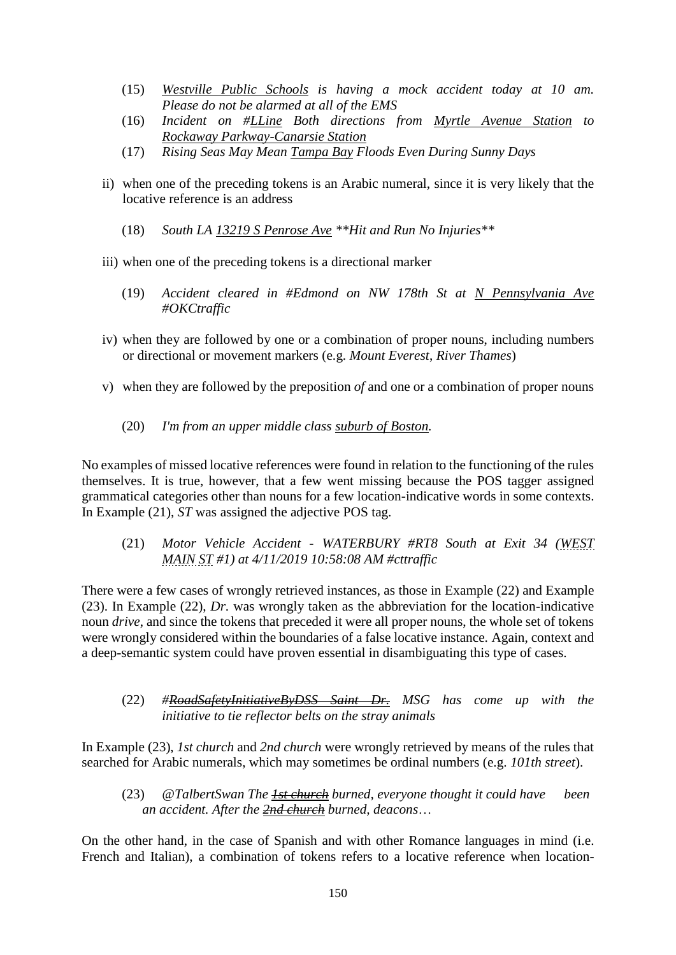- (15) *Westville Public Schools is having a mock accident today at 10 am. Please do not be alarmed at all of the EMS*
- (16) *Incident on #LLine Both directions from Myrtle Avenue Station to Rockaway Parkway-Canarsie Station*
- (17) *Rising Seas May Mean Tampa Bay Floods Even During Sunny Days*
- ii) when one of the preceding tokens is an Arabic numeral, since it is very likely that the locative reference is an address
	- (18) *South LA 13219 S Penrose Ave \*\*Hit and Run No Injuries\*\**
- iii) when one of the preceding tokens is a directional marker
	- (19) *Accident cleared in #Edmond on NW 178th St at N Pennsylvania Ave #OKCtraffic*
- iv) when they are followed by one or a combination of proper nouns, including numbers or directional or movement markers (e.g. *Mount Everest*, *River Thames*)
- v) when they are followed by the preposition *of* and one or a combination of proper nouns
	- (20) *I'm from an upper middle class suburb of Boston.*

No examples of missed locative references were found in relation to the functioning of the rules themselves. It is true, however, that a few went missing because the POS tagger assigned grammatical categories other than nouns for a few location-indicative words in some contexts. In Example (21), *ST* was assigned the adjective POS tag.

(21) *Motor Vehicle Accident - WATERBURY #RT8 South at Exit 34 (WEST MAIN ST #1) at 4/11/2019 10:58:08 AM #cttraffic*

There were a few cases of wrongly retrieved instances, as those in Example (22) and Example (23). In Example (22), *Dr.* was wrongly taken as the abbreviation for the location-indicative noun *drive*, and since the tokens that preceded it were all proper nouns, the whole set of tokens were wrongly considered within the boundaries of a false locative instance. Again, context and a deep-semantic system could have proven essential in disambiguating this type of cases.

(22) *#RoadSafetyInitiativeByDSS Saint Dr. MSG has come up with the initiative to tie reflector belts on the stray animals*

In Example (23), *1st church* and *2nd church* were wrongly retrieved by means of the rules that searched for Arabic numerals, which may sometimes be ordinal numbers (e.g. *101th street*).

(23) *@TalbertSwan The 1st church burned, everyone thought it could have been an accident. After the 2nd church burned, deacons*…

On the other hand, in the case of Spanish and with other Romance languages in mind (i.e. French and Italian), a combination of tokens refers to a locative reference when location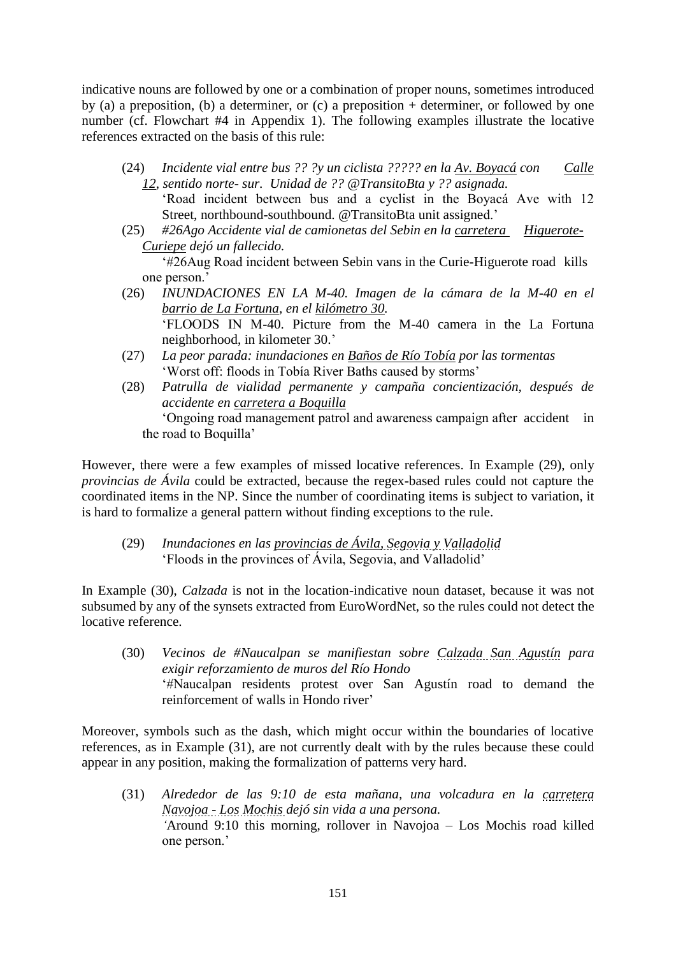indicative nouns are followed by one or a combination of proper nouns, sometimes introduced by (a) a preposition, (b) a determiner, or (c) a preposition + determiner, or followed by one number (cf. Flowchart #4 in Appendix 1). The following examples illustrate the locative references extracted on the basis of this rule:

- (24) *Incidente vial entre bus ?? ?y un ciclista ????? en la Av. Boyacá con Calle 12, sentido norte- sur. Unidad de ?? @TransitoBta y ?? asignada.*
	- 'Road incident between bus and a cyclist in the Boyacá Ave with 12 Street, northbound-southbound. @TransitoBta unit assigned.'
- (25) *#26Ago Accidente vial de camionetas del Sebin en la carretera Higuerote-Curiepe dejó un fallecido.*

'#26Aug Road incident between Sebin vans in the Curie-Higuerote road kills one person.'

- (26) *INUNDACIONES EN LA M-40. Imagen de la cámara de la M-40 en el barrio de La Fortuna, en el kilómetro 30.* 'FLOODS IN M-40. Picture from the M-40 camera in the La Fortuna neighborhood, in kilometer 30.'
- (27) *La peor parada: inundaciones en Baños de Río Tobía por las tormentas* 'Worst off: floods in Tobía River Baths caused by storms'
- (28) *Patrulla de vialidad permanente y campaña concientización, después de accidente en carretera a Boquilla*

'Ongoing road management patrol and awareness campaign after accident in the road to Boquilla'

However, there were a few examples of missed locative references. In Example (29), only *provincias de Ávila* could be extracted, because the regex-based rules could not capture the coordinated items in the NP. Since the number of coordinating items is subject to variation, it is hard to formalize a general pattern without finding exceptions to the rule.

(29) *Inundaciones en las provincias de Ávila, Segovia y Valladolid* 'Floods in the provinces of Ávila, Segovia, and Valladolid'

In Example (30), *Calzada* is not in the location-indicative noun dataset, because it was not subsumed by any of the synsets extracted from EuroWordNet, so the rules could not detect the locative reference.

(30) *Vecinos de #Naucalpan se manifiestan sobre Calzada San Agustín para exigir reforzamiento de muros del Río Hondo*  '#Naucalpan residents protest over San Agustín road to demand the reinforcement of walls in Hondo river'

Moreover, symbols such as the dash, which might occur within the boundaries of locative references, as in Example (31), are not currently dealt with by the rules because these could appear in any position, making the formalization of patterns very hard.

(31) *Alrededor de las 9:10 de esta mañana, una volcadura en la carretera Navojoa - Los Mochis dejó sin vida a una persona. '*Around 9:10 this morning, rollover in Navojoa – Los Mochis road killed one person.'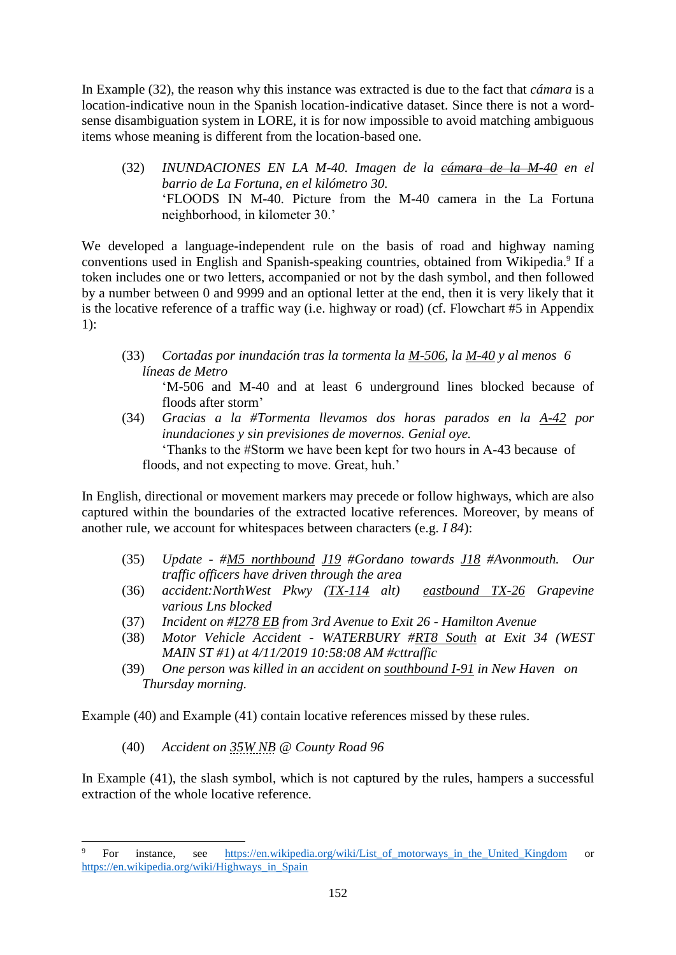In Example (32), the reason why this instance was extracted is due to the fact that *cámara* is a location-indicative noun in the Spanish location-indicative dataset. Since there is not a wordsense disambiguation system in LORE, it is for now impossible to avoid matching ambiguous items whose meaning is different from the location-based one.

(32) *INUNDACIONES EN LA M-40. Imagen de la cámara de la M-40 en el barrio de La Fortuna, en el kilómetro 30.* 'FLOODS IN M-40. Picture from the M-40 camera in the La Fortuna neighborhood, in kilometer 30.'

We developed a language-independent rule on the basis of road and highway naming conventions used in English and Spanish-speaking countries, obtained from Wikipedia.<sup>9</sup> If a token includes one or two letters, accompanied or not by the dash symbol, and then followed by a number between 0 and 9999 and an optional letter at the end, then it is very likely that it is the locative reference of a traffic way (i.e. highway or road) (cf. Flowchart #5 in Appendix 1):

(33) *Cortadas por inundación tras la tormenta la M-506, la M-40 y al menos 6 líneas de Metro*

'M-506 and M-40 and at least 6 underground lines blocked because of floods after storm'

(34) *Gracias a la #Tormenta llevamos dos horas parados en la A-42 por inundaciones y sin previsiones de movernos. Genial oye.*

'Thanks to the #Storm we have been kept for two hours in A-43 because of floods, and not expecting to move. Great, huh.'

In English, directional or movement markers may precede or follow highways, which are also captured within the boundaries of the extracted locative references. Moreover, by means of another rule, we account for whitespaces between characters (e.g. *I 84*):

- (35) *Update - #M5 northbound J19 #Gordano towards J18 #Avonmouth. Our traffic officers have driven through the area*
- (36) *accident:NorthWest Pkwy (TX-114 alt) eastbound TX-26 Grapevine various Lns blocked*
- (37) *Incident on #I278 EB from 3rd Avenue to Exit 26 - Hamilton Avenue*
- (38) *Motor Vehicle Accident - WATERBURY #RT8 South at Exit 34 (WEST MAIN ST #1) at 4/11/2019 10:58:08 AM #cttraffic*
- (39) *One person was killed in an accident on southbound I-91 in New Haven on Thursday morning.*

Example (40) and Example (41) contain locative references missed by these rules.

(40) *Accident on 35W NB @ County Road 96*

In Example (41), the slash symbol, which is not captured by the rules, hampers a successful extraction of the whole locative reference.

 $\overline{9}$ For instance, see https://en.wikipedia.org/wiki/List of motorways in the United Kingdom or [https://en.wikipedia.org/wiki/Highways\\_in\\_Spain](https://en.wikipedia.org/wiki/Highways_in_Spain)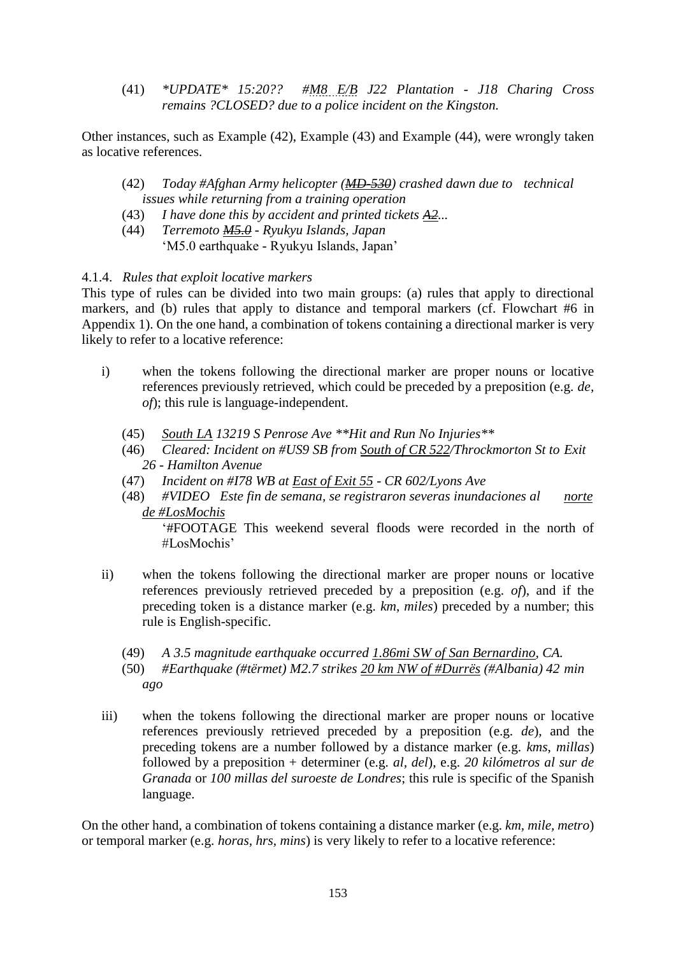(41) *\*UPDATE\* 15:20?? #M8 E/B J22 Plantation - J18 Charing Cross remains ?CLOSED? due to a police incident on the Kingston.*

Other instances, such as Example (42), Example (43) and Example (44), were wrongly taken as locative references.

- (42) *Today #Afghan Army helicopter (MD-530) crashed dawn due to technical issues while returning from a training operation*
- (43) *I have done this by accident and printed tickets A2...*
- (44) *Terremoto M5.0 - Ryukyu Islands, Japan* 'M5.0 earthquake - Ryukyu Islands, Japan'

### 4.1.4. *Rules that exploit locative markers*

This type of rules can be divided into two main groups: (a) rules that apply to directional markers, and (b) rules that apply to distance and temporal markers (cf. Flowchart #6 in Appendix 1). On the one hand, a combination of tokens containing a directional marker is very likely to refer to a locative reference:

- i) when the tokens following the directional marker are proper nouns or locative references previously retrieved, which could be preceded by a preposition (e.g. *de, of*); this rule is language-independent.
	- (45) *South LA 13219 S Penrose Ave \*\*Hit and Run No Injuries\*\**
	- (46) *Cleared: Incident on #US9 SB from South of CR 522/Throckmorton St to Exit 26 - Hamilton Avenue*
	- (47) *Incident on #I78 WB at East of Exit 55 - CR 602/Lyons Ave*
	- (48) *#VIDEO Este fin de semana, se registraron severas inundaciones al norte de #LosMochis*

'#FOOTAGE This weekend several floods were recorded in the north of #LosMochis'

- ii) when the tokens following the directional marker are proper nouns or locative references previously retrieved preceded by a preposition (e.g. *of*), and if the preceding token is a distance marker (e.g. *km*, *miles*) preceded by a number; this rule is English-specific.
	- (49) *A 3.5 magnitude earthquake occurred 1.86mi SW of San Bernardino, CA.*
	- (50) *#Earthquake (#tërmet) M2.7 strikes 20 km NW of #Durrës (#Albania) 42 min ago*
- iii) when the tokens following the directional marker are proper nouns or locative references previously retrieved preceded by a preposition (e.g. *de*), and the preceding tokens are a number followed by a distance marker (e.g. *kms*, *millas*) followed by a preposition + determiner (e.g. *al, del*), e.g. *20 kilómetros al sur de Granada* or *100 millas del suroeste de Londres*; this rule is specific of the Spanish language.

On the other hand, a combination of tokens containing a distance marker (e.g. *km, mile, metro*) or temporal marker (e.g. *horas, hrs, mins*) is very likely to refer to a locative reference: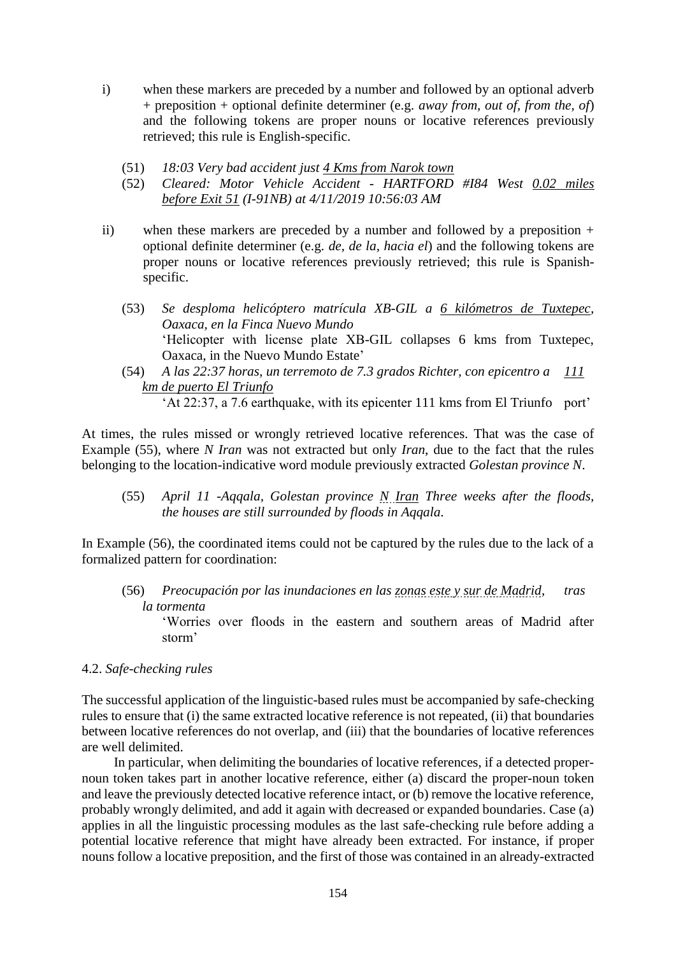- i) when these markers are preceded by a number and followed by an optional adverb + preposition + optional definite determiner (e.g. *away from, out of, from the, of*) and the following tokens are proper nouns or locative references previously retrieved; this rule is English-specific.
	- (51) *18:03 Very bad accident just 4 Kms from Narok town*
	- (52) *Cleared: Motor Vehicle Accident - HARTFORD #I84 West 0.02 miles before Exit 51 (I-91NB) at 4/11/2019 10:56:03 AM*
- ii) when these markers are preceded by a number and followed by a preposition  $+$ optional definite determiner (e.g. *de, de la, hacia el*) and the following tokens are proper nouns or locative references previously retrieved; this rule is Spanishspecific.
	- (53) *Se desploma helicóptero matrícula XB-GIL a 6 kilómetros de Tuxtepec, Oaxaca, en la Finca Nuevo Mundo* 'Helicopter with license plate XB-GIL collapses 6 kms from Tuxtepec, Oaxaca, in the Nuevo Mundo Estate'
	- (54) *A las 22:37 horas, un terremoto de 7.3 grados Richter, con epicentro a 111 km de puerto El Triunfo*

'At 22:37, a 7.6 earthquake, with its epicenter 111 kms from El Triunfo port'

At times, the rules missed or wrongly retrieved locative references. That was the case of Example (55), where *N Iran* was not extracted but only *Iran*, due to the fact that the rules belonging to the location-indicative word module previously extracted *Golestan province N*.

(55) *April 11 -Aqqala, Golestan province N Iran Three weeks after the floods, the houses are still surrounded by floods in Aqqala.*

In Example (56), the coordinated items could not be captured by the rules due to the lack of a formalized pattern for coordination:

(56) *Preocupación por las inundaciones en las zonas este y sur de Madrid, tras la tormenta*

'Worries over floods in the eastern and southern areas of Madrid after storm'

### 4.2. *Safe-checking rules*

The successful application of the linguistic-based rules must be accompanied by safe-checking rules to ensure that (i) the same extracted locative reference is not repeated, (ii) that boundaries between locative references do not overlap, and (iii) that the boundaries of locative references are well delimited.

In particular, when delimiting the boundaries of locative references, if a detected propernoun token takes part in another locative reference, either (a) discard the proper-noun token and leave the previously detected locative reference intact, or (b) remove the locative reference, probably wrongly delimited, and add it again with decreased or expanded boundaries. Case (a) applies in all the linguistic processing modules as the last safe-checking rule before adding a potential locative reference that might have already been extracted. For instance, if proper nouns follow a locative preposition, and the first of those was contained in an already-extracted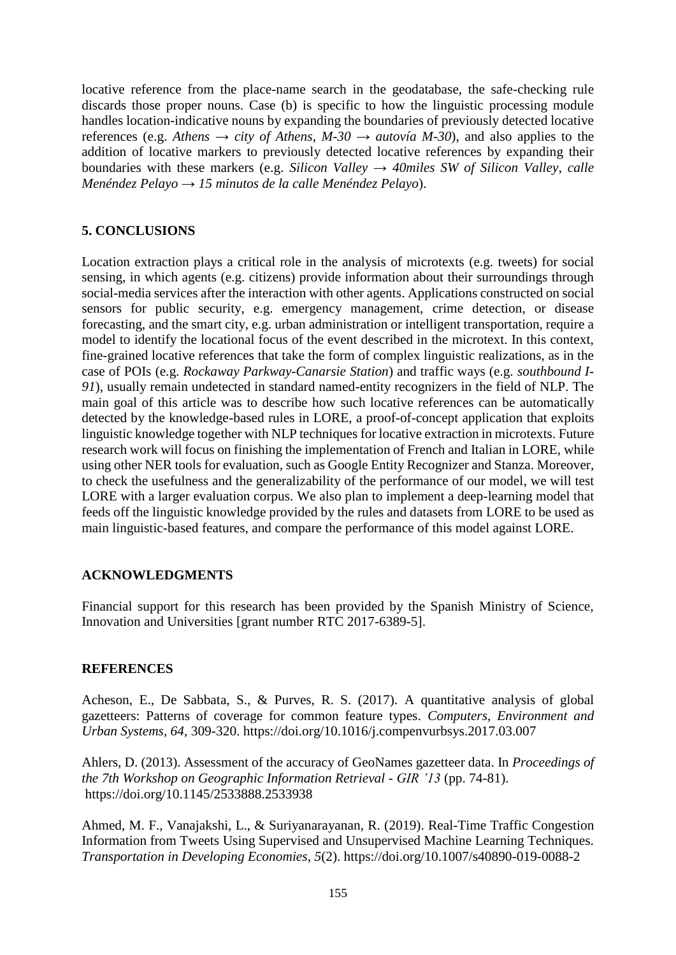locative reference from the place-name search in the geodatabase, the safe-checking rule discards those proper nouns. Case (b) is specific to how the linguistic processing module handles location-indicative nouns by expanding the boundaries of previously detected locative references (e.g. *Athens*  $\rightarrow$  *city of Athens*,  $M-30 \rightarrow autov(a M-30)$ , and also applies to the addition of locative markers to previously detected locative references by expanding their boundaries with these markers (e.g. *Silicon Valley*  $\rightarrow$  *40miles SW of Silicon Valley, calle Menéndez Pelayo* → *15 minutos de la calle Menéndez Pelayo*).

# **5. CONCLUSIONS**

Location extraction plays a critical role in the analysis of microtexts (e.g. tweets) for social sensing, in which agents (e.g. citizens) provide information about their surroundings through social-media services after the interaction with other agents. Applications constructed on social sensors for public security, e.g. emergency management, crime detection, or disease forecasting, and the smart city, e.g. urban administration or intelligent transportation, require a model to identify the locational focus of the event described in the microtext. In this context, fine-grained locative references that take the form of complex linguistic realizations, as in the case of POIs (e.g. *Rockaway Parkway-Canarsie Station*) and traffic ways (e.g. *southbound I-91*), usually remain undetected in standard named-entity recognizers in the field of NLP. The main goal of this article was to describe how such locative references can be automatically detected by the knowledge-based rules in LORE, a proof-of-concept application that exploits linguistic knowledge together with NLP techniques for locative extraction in microtexts. Future research work will focus on finishing the implementation of French and Italian in LORE, while using other NER tools for evaluation, such as Google Entity Recognizer and Stanza. Moreover, to check the usefulness and the generalizability of the performance of our model, we will test LORE with a larger evaluation corpus. We also plan to implement a deep-learning model that feeds off the linguistic knowledge provided by the rules and datasets from LORE to be used as main linguistic-based features, and compare the performance of this model against LORE.

# **ACKNOWLEDGMENTS**

Financial support for this research has been provided by the Spanish Ministry of Science, Innovation and Universities [grant number RTC 2017-6389-5].

### **REFERENCES**

Acheson, E., De Sabbata, S., & Purves, R. S. (2017). A quantitative analysis of global gazetteers: Patterns of coverage for common feature types. *Computers, Environment and Urban Systems*, *64*, 309-320. https://doi.org/10.1016/j.compenvurbsys.2017.03.007

Ahlers, D. (2013). Assessment of the accuracy of GeoNames gazetteer data. In *Proceedings of the 7th Workshop on Geographic Information Retrieval - GIR '13* (pp. 74-81). https://doi.org/10.1145/2533888.2533938

Ahmed, M. F., Vanajakshi, L., & Suriyanarayanan, R. (2019). Real-Time Traffic Congestion Information from Tweets Using Supervised and Unsupervised Machine Learning Techniques. *Transportation in Developing Economies*, *5*(2). https://doi.org/10.1007/s40890-019-0088-2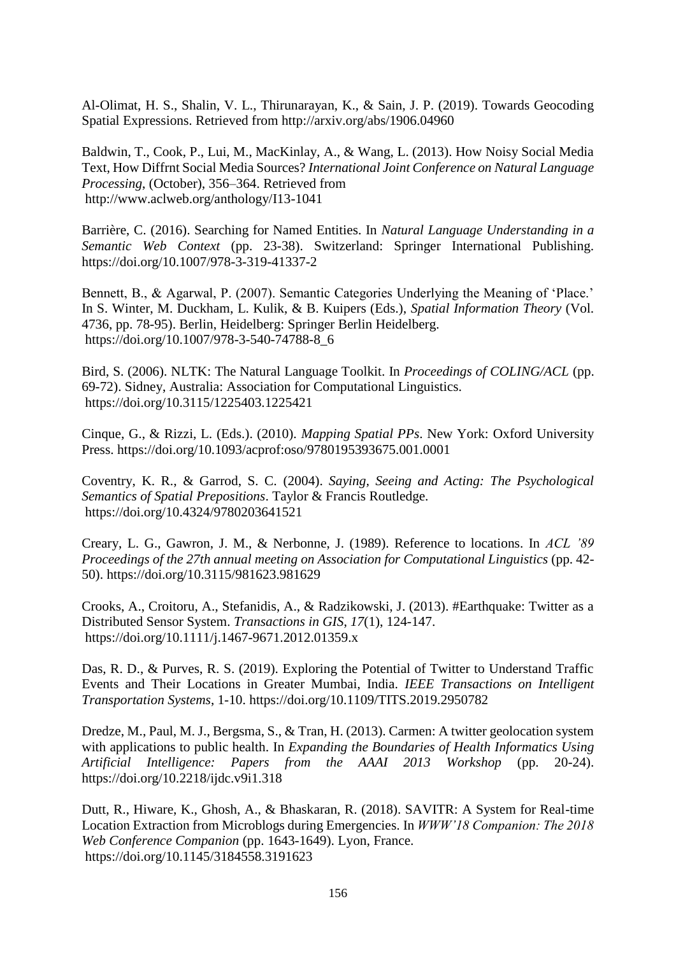Al-Olimat, H. S., Shalin, V. L., Thirunarayan, K., & Sain, J. P. (2019). Towards Geocoding Spatial Expressions. Retrieved from http://arxiv.org/abs/1906.04960

Baldwin, T., Cook, P., Lui, M., MacKinlay, A., & Wang, L. (2013). How Noisy Social Media Text, How Diffrnt Social Media Sources? *International Joint Conference on Natural Language Processing*, (October), 356–364. Retrieved from http://www.aclweb.org/anthology/I13-1041

Barrière, C. (2016). Searching for Named Entities. In *Natural Language Understanding in a Semantic Web Context* (pp. 23-38). Switzerland: Springer International Publishing. https://doi.org/10.1007/978-3-319-41337-2

Bennett, B., & Agarwal, P. (2007). Semantic Categories Underlying the Meaning of 'Place.' In S. Winter, M. Duckham, L. Kulik, & B. Kuipers (Eds.), *Spatial Information Theory* (Vol. 4736, pp. 78-95). Berlin, Heidelberg: Springer Berlin Heidelberg. https://doi.org/10.1007/978-3-540-74788-8\_6

Bird, S. (2006). NLTK: The Natural Language Toolkit. In *Proceedings of COLING/ACL* (pp. 69-72). Sidney, Australia: Association for Computational Linguistics. https://doi.org/10.3115/1225403.1225421

Cinque, G., & Rizzi, L. (Eds.). (2010). *Mapping Spatial PPs*. New York: Oxford University Press. https://doi.org/10.1093/acprof:oso/9780195393675.001.0001

Coventry, K. R., & Garrod, S. C. (2004). *Saying, Seeing and Acting: The Psychological Semantics of Spatial Prepositions*. Taylor & Francis Routledge. https://doi.org/10.4324/9780203641521

Creary, L. G., Gawron, J. M., & Nerbonne, J. (1989). Reference to locations. In *ACL '89 Proceedings of the 27th annual meeting on Association for Computational Linguistics* (pp. 42- 50). https://doi.org/10.3115/981623.981629

Crooks, A., Croitoru, A., Stefanidis, A., & Radzikowski, J. (2013). #Earthquake: Twitter as a Distributed Sensor System. *Transactions in GIS*, *17*(1), 124-147. https://doi.org/10.1111/j.1467-9671.2012.01359.x

Das, R. D., & Purves, R. S. (2019). Exploring the Potential of Twitter to Understand Traffic Events and Their Locations in Greater Mumbai, India. *IEEE Transactions on Intelligent Transportation Systems*, 1-10. https://doi.org/10.1109/TITS.2019.2950782

Dredze, M., Paul, M. J., Bergsma, S., & Tran, H. (2013). Carmen: A twitter geolocation system with applications to public health. In *Expanding the Boundaries of Health Informatics Using Artificial Intelligence: Papers from the AAAI 2013 Workshop* (pp. 20-24). https://doi.org/10.2218/ijdc.v9i1.318

Dutt, R., Hiware, K., Ghosh, A., & Bhaskaran, R. (2018). SAVITR: A System for Real-time Location Extraction from Microblogs during Emergencies. In *WWW'18 Companion: The 2018 Web Conference Companion* (pp. 1643-1649). Lyon, France. https://doi.org/10.1145/3184558.3191623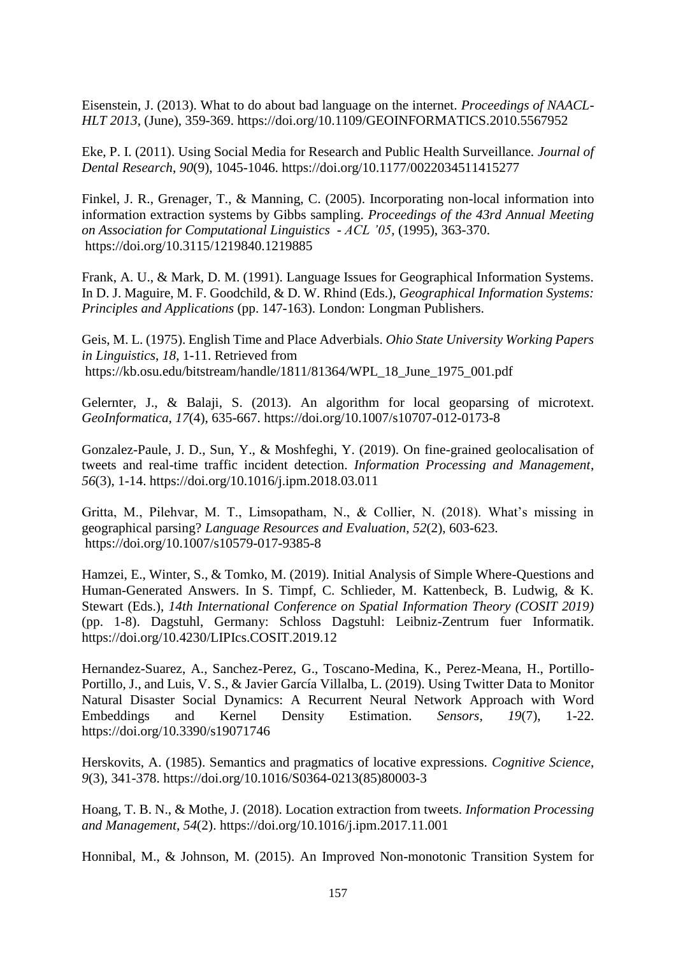Eisenstein, J. (2013). What to do about bad language on the internet. *Proceedings of NAACL-HLT 2013*, (June), 359-369. https://doi.org/10.1109/GEOINFORMATICS.2010.5567952

Eke, P. I. (2011). Using Social Media for Research and Public Health Surveillance. *Journal of Dental Research*, *90*(9), 1045-1046. https://doi.org/10.1177/0022034511415277

Finkel, J. R., Grenager, T., & Manning, C. (2005). Incorporating non-local information into information extraction systems by Gibbs sampling. *Proceedings of the 43rd Annual Meeting on Association for Computational Linguistics - ACL '05*, (1995), 363-370. https://doi.org/10.3115/1219840.1219885

Frank, A. U., & Mark, D. M. (1991). Language Issues for Geographical Information Systems. In D. J. Maguire, M. F. Goodchild, & D. W. Rhind (Eds.), *Geographical Information Systems: Principles and Applications* (pp. 147-163). London: Longman Publishers.

Geis, M. L. (1975). English Time and Place Adverbials. *Ohio State University Working Papers in Linguistics*, *18*, 1-11. Retrieved from https://kb.osu.edu/bitstream/handle/1811/81364/WPL\_18\_June\_1975\_001.pdf

Gelernter, J., & Balaji, S. (2013). An algorithm for local geoparsing of microtext. *GeoInformatica*, *17*(4), 635-667. https://doi.org/10.1007/s10707-012-0173-8

Gonzalez-Paule, J. D., Sun, Y., & Moshfeghi, Y. (2019). On fine-grained geolocalisation of tweets and real-time traffic incident detection. *Information Processing and Management*, *56*(3), 1-14. https://doi.org/10.1016/j.ipm.2018.03.011

Gritta, M., Pilehvar, M. T., Limsopatham, N., & Collier, N. (2018). What's missing in geographical parsing? *Language Resources and Evaluation*, *52*(2), 603-623. https://doi.org/10.1007/s10579-017-9385-8

Hamzei, E., Winter, S., & Tomko, M. (2019). Initial Analysis of Simple Where-Questions and Human-Generated Answers. In S. Timpf, C. Schlieder, M. Kattenbeck, B. Ludwig, & K. Stewart (Eds.), *14th International Conference on Spatial Information Theory (COSIT 2019)* (pp. 1-8). Dagstuhl, Germany: Schloss Dagstuhl: Leibniz-Zentrum fuer Informatik. https://doi.org/10.4230/LIPIcs.COSIT.2019.12

Hernandez-Suarez, A., Sanchez-Perez, G., Toscano-Medina, K., Perez-Meana, H., Portillo-Portillo, J., and Luis, V. S., & Javier García Villalba, L. (2019). Using Twitter Data to Monitor Natural Disaster Social Dynamics: A Recurrent Neural Network Approach with Word Embeddings and Kernel Density Estimation. *Sensors*, *19*(7), 1-22. https://doi.org/10.3390/s19071746

Herskovits, A. (1985). Semantics and pragmatics of locative expressions. *Cognitive Science*, *9*(3), 341-378. https://doi.org/10.1016/S0364-0213(85)80003-3

Hoang, T. B. N., & Mothe, J. (2018). Location extraction from tweets. *Information Processing and Management*, *54*(2). https://doi.org/10.1016/j.ipm.2017.11.001

Honnibal, M., & Johnson, M. (2015). An Improved Non-monotonic Transition System for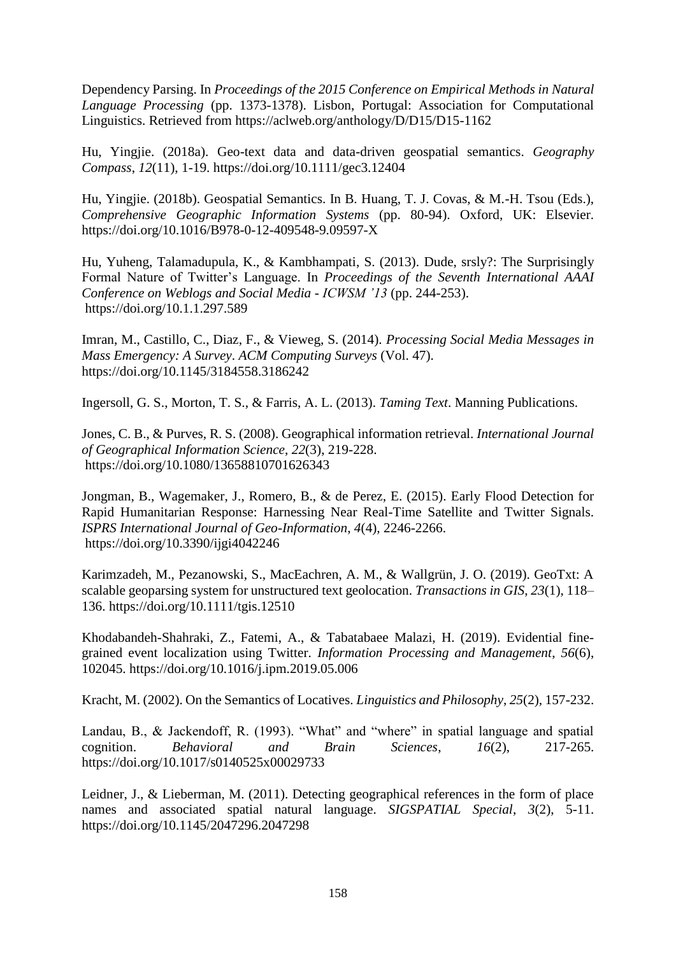Dependency Parsing. In *Proceedings of the 2015 Conference on Empirical Methods in Natural Language Processing* (pp. 1373-1378). Lisbon, Portugal: Association for Computational Linguistics. Retrieved from https://aclweb.org/anthology/D/D15/D15-1162

Hu, Yingjie. (2018a). Geo-text data and data-driven geospatial semantics. *Geography Compass*, *12*(11), 1-19. https://doi.org/10.1111/gec3.12404

Hu, Yingjie. (2018b). Geospatial Semantics. In B. Huang, T. J. Covas, & M.-H. Tsou (Eds.), *Comprehensive Geographic Information Systems* (pp. 80-94). Oxford, UK: Elsevier. https://doi.org/10.1016/B978-0-12-409548-9.09597-X

Hu, Yuheng, Talamadupula, K., & Kambhampati, S. (2013). Dude, srsly?: The Surprisingly Formal Nature of Twitter's Language. In *Proceedings of the Seventh International AAAI Conference on Weblogs and Social Media - ICWSM '13* (pp. 244-253). https://doi.org/10.1.1.297.589

Imran, M., Castillo, C., Diaz, F., & Vieweg, S. (2014). *Processing Social Media Messages in Mass Emergency: A Survey*. *ACM Computing Surveys* (Vol. 47). https://doi.org/10.1145/3184558.3186242

Ingersoll, G. S., Morton, T. S., & Farris, A. L. (2013). *Taming Text*. Manning Publications.

Jones, C. B., & Purves, R. S. (2008). Geographical information retrieval. *International Journal of Geographical Information Science*, *22*(3), 219-228. https://doi.org/10.1080/13658810701626343

Jongman, B., Wagemaker, J., Romero, B., & de Perez, E. (2015). Early Flood Detection for Rapid Humanitarian Response: Harnessing Near Real-Time Satellite and Twitter Signals. *ISPRS International Journal of Geo-Information*, *4*(4), 2246-2266. https://doi.org/10.3390/ijgi4042246

Karimzadeh, M., Pezanowski, S., MacEachren, A. M., & Wallgrün, J. O. (2019). GeoTxt: A scalable geoparsing system for unstructured text geolocation. *Transactions in GIS*, *23*(1), 118– 136. https://doi.org/10.1111/tgis.12510

Khodabandeh-Shahraki, Z., Fatemi, A., & Tabatabaee Malazi, H. (2019). Evidential finegrained event localization using Twitter. *Information Processing and Management*, *56*(6), 102045. https://doi.org/10.1016/j.ipm.2019.05.006

Kracht, M. (2002). On the Semantics of Locatives. *Linguistics and Philosophy*, *25*(2), 157-232.

Landau, B., & Jackendoff, R. (1993). "What" and "where" in spatial language and spatial cognition. *Behavioral and Brain Sciences*, *16*(2), 217-265. https://doi.org/10.1017/s0140525x00029733

Leidner, J., & Lieberman, M. (2011). Detecting geographical references in the form of place names and associated spatial natural language. *SIGSPATIAL Special*, *3*(2), 5-11. https://doi.org/10.1145/2047296.2047298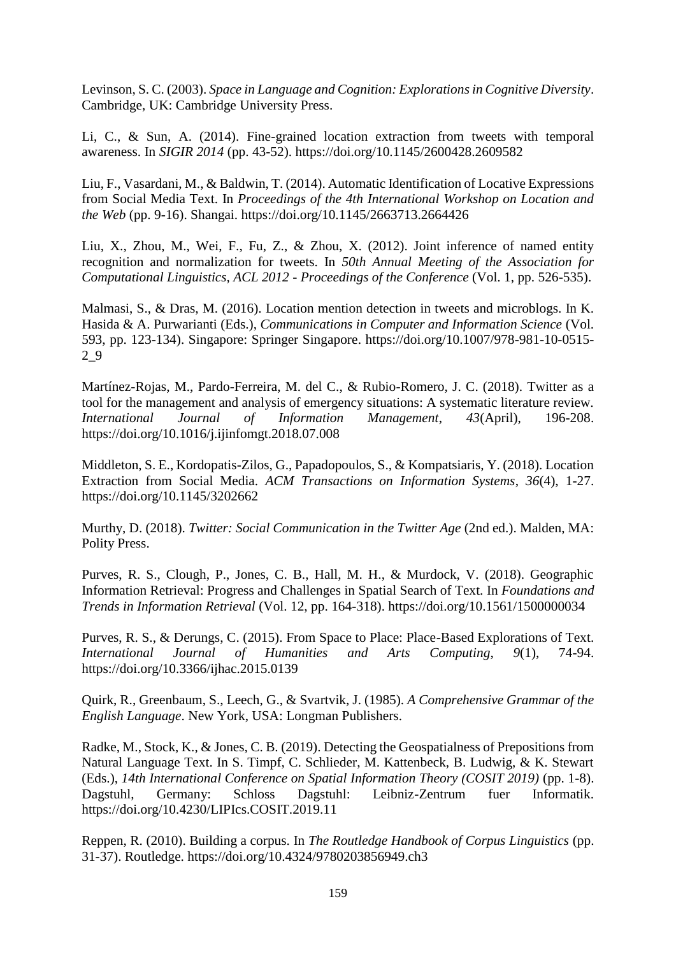Levinson, S. C. (2003). *Space in Language and Cognition: Explorations in Cognitive Diversity*. Cambridge, UK: Cambridge University Press.

Li, C., & Sun, A. (2014). Fine-grained location extraction from tweets with temporal awareness. In *SIGIR 2014* (pp. 43-52). https://doi.org/10.1145/2600428.2609582

Liu, F., Vasardani, M., & Baldwin, T. (2014). Automatic Identification of Locative Expressions from Social Media Text. In *Proceedings of the 4th International Workshop on Location and the Web* (pp. 9-16). Shangai. https://doi.org/10.1145/2663713.2664426

Liu, X., Zhou, M., Wei, F., Fu, Z., & Zhou, X. (2012). Joint inference of named entity recognition and normalization for tweets. In *50th Annual Meeting of the Association for Computational Linguistics, ACL 2012 - Proceedings of the Conference* (Vol. 1, pp. 526-535).

Malmasi, S., & Dras, M. (2016). Location mention detection in tweets and microblogs. In K. Hasida & A. Purwarianti (Eds.), *Communications in Computer and Information Science* (Vol. 593, pp. 123-134). Singapore: Springer Singapore. https://doi.org/10.1007/978-981-10-0515- 2\_9

Martínez-Rojas, M., Pardo-Ferreira, M. del C., & Rubio-Romero, J. C. (2018). Twitter as a tool for the management and analysis of emergency situations: A systematic literature review. *International Journal of Information Management*, *43*(April), 196-208. https://doi.org/10.1016/j.ijinfomgt.2018.07.008

Middleton, S. E., Kordopatis-Zilos, G., Papadopoulos, S., & Kompatsiaris, Y. (2018). Location Extraction from Social Media. *ACM Transactions on Information Systems*, *36*(4), 1-27. https://doi.org/10.1145/3202662

Murthy, D. (2018). *Twitter: Social Communication in the Twitter Age* (2nd ed.). Malden, MA: Polity Press.

Purves, R. S., Clough, P., Jones, C. B., Hall, M. H., & Murdock, V. (2018). Geographic Information Retrieval: Progress and Challenges in Spatial Search of Text. In *Foundations and Trends in Information Retrieval* (Vol. 12, pp. 164-318). https://doi.org/10.1561/1500000034

Purves, R. S., & Derungs, C. (2015). From Space to Place: Place-Based Explorations of Text. *International Journal of Humanities and Arts Computing*, *9*(1), 74-94. https://doi.org/10.3366/ijhac.2015.0139

Quirk, R., Greenbaum, S., Leech, G., & Svartvik, J. (1985). *A Comprehensive Grammar of the English Language*. New York, USA: Longman Publishers.

Radke, M., Stock, K., & Jones, C. B. (2019). Detecting the Geospatialness of Prepositions from Natural Language Text. In S. Timpf, C. Schlieder, M. Kattenbeck, B. Ludwig, & K. Stewart (Eds.), *14th International Conference on Spatial Information Theory (COSIT 2019)* (pp. 1-8). Dagstuhl, Germany: Schloss Dagstuhl: Leibniz-Zentrum fuer Informatik. https://doi.org/10.4230/LIPIcs.COSIT.2019.11

Reppen, R. (2010). Building a corpus. In *The Routledge Handbook of Corpus Linguistics* (pp. 31-37). Routledge. https://doi.org/10.4324/9780203856949.ch3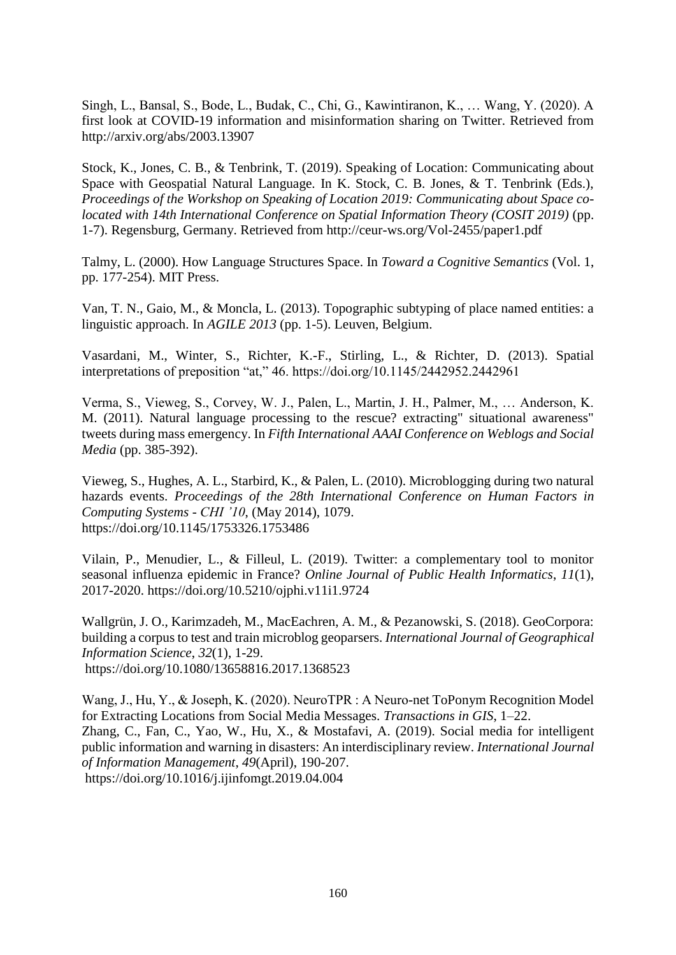Singh, L., Bansal, S., Bode, L., Budak, C., Chi, G., Kawintiranon, K., … Wang, Y. (2020). A first look at COVID-19 information and misinformation sharing on Twitter. Retrieved from http://arxiv.org/abs/2003.13907

Stock, K., Jones, C. B., & Tenbrink, T. (2019). Speaking of Location: Communicating about Space with Geospatial Natural Language. In K. Stock, C. B. Jones, & T. Tenbrink (Eds.), *Proceedings of the Workshop on Speaking of Location 2019: Communicating about Space colocated with 14th International Conference on Spatial Information Theory (COSIT 2019)* (pp. 1-7). Regensburg, Germany. Retrieved from http://ceur-ws.org/Vol-2455/paper1.pdf

Talmy, L. (2000). How Language Structures Space. In *Toward a Cognitive Semantics* (Vol. 1, pp. 177-254). MIT Press.

Van, T. N., Gaio, M., & Moncla, L. (2013). Topographic subtyping of place named entities: a linguistic approach. In *AGILE 2013* (pp. 1-5). Leuven, Belgium.

Vasardani, M., Winter, S., Richter, K.-F., Stirling, L., & Richter, D. (2013). Spatial interpretations of preposition "at," 46. https://doi.org/10.1145/2442952.2442961

Verma, S., Vieweg, S., Corvey, W. J., Palen, L., Martin, J. H., Palmer, M., … Anderson, K. M. (2011). Natural language processing to the rescue? extracting" situational awareness" tweets during mass emergency. In *Fifth International AAAI Conference on Weblogs and Social Media* (pp. 385-392).

Vieweg, S., Hughes, A. L., Starbird, K., & Palen, L. (2010). Microblogging during two natural hazards events. *Proceedings of the 28th International Conference on Human Factors in Computing Systems - CHI '10*, (May 2014), 1079. https://doi.org/10.1145/1753326.1753486

Vilain, P., Menudier, L., & Filleul, L. (2019). Twitter: a complementary tool to monitor seasonal influenza epidemic in France? *Online Journal of Public Health Informatics*, *11*(1), 2017-2020. https://doi.org/10.5210/ojphi.v11i1.9724

Wallgrün, J. O., Karimzadeh, M., MacEachren, A. M., & Pezanowski, S. (2018). GeoCorpora: building a corpus to test and train microblog geoparsers. *International Journal of Geographical Information Science*, *32*(1), 1-29. https://doi.org/10.1080/13658816.2017.1368523

Wang, J., Hu, Y., & Joseph, K. (2020). NeuroTPR : A Neuro-net ToPonym Recognition Model for Extracting Locations from Social Media Messages. *Transactions in GIS*, 1–22. Zhang, C., Fan, C., Yao, W., Hu, X., & Mostafavi, A. (2019). Social media for intelligent public information and warning in disasters: An interdisciplinary review. *International Journal of Information Management*, *49*(April), 190-207. https://doi.org/10.1016/j.ijinfomgt.2019.04.004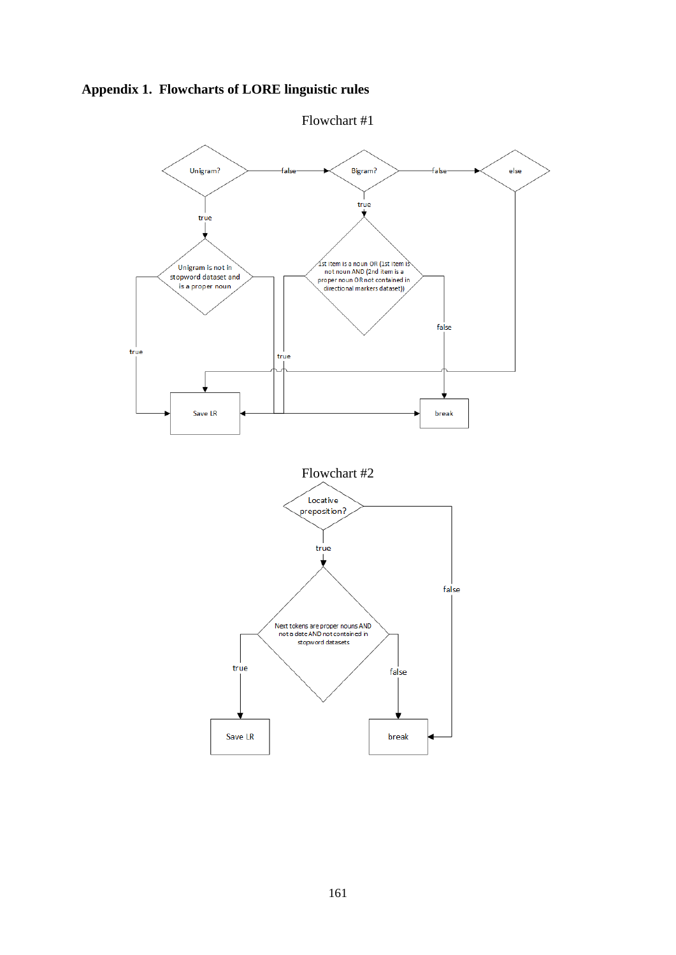**Appendix 1. Flowcharts of LORE linguistic rules** 

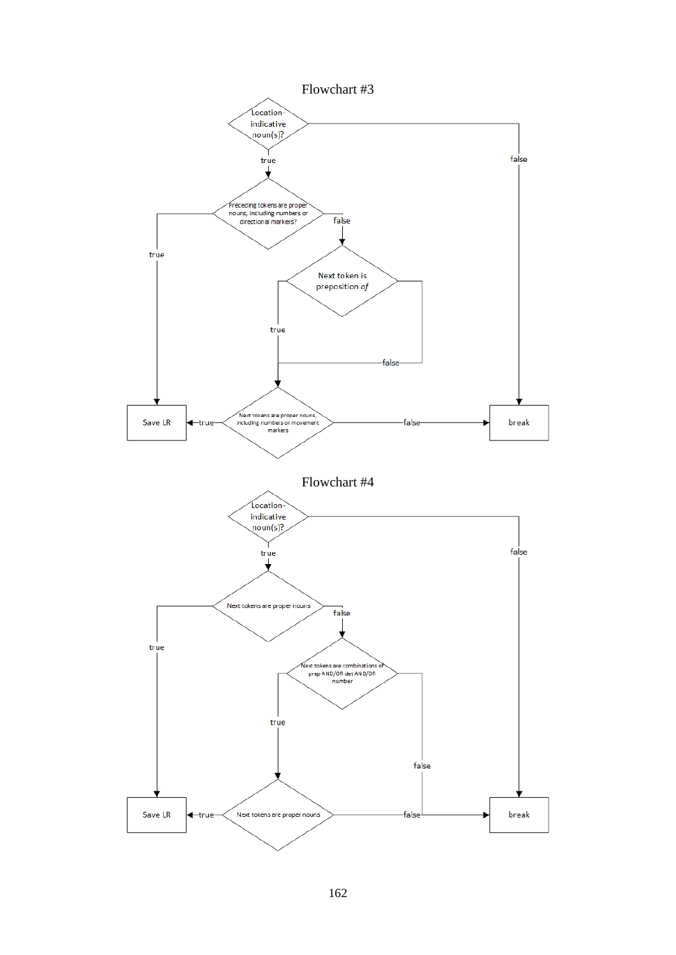